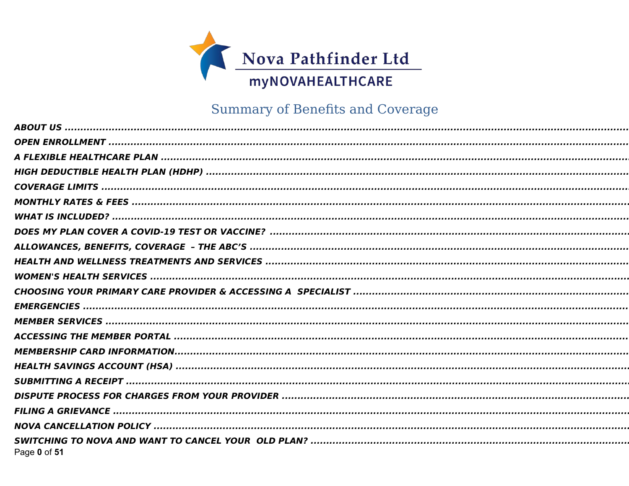

# Summary of Benefits and Coverage

| Page 0 of 51 |
|--------------|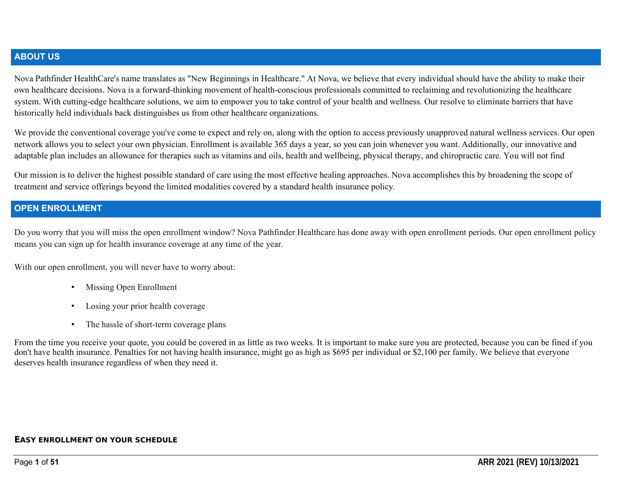#### **ABOUT US**

Nova Pathfinder HealthCare's name translates as "New Beginnings in Healthcare." At Nova, we believe that every individual should have the ability to make their own healthcare decisions. Nova is a forward-thinking movement of health-conscious professionals committed to reclaiming and revolutionizing the healthcare system. With cutting-edge healthcare solutions, we aim to empower you to take control of your health and wellness. Our resolve to eliminate barriers that have historically held individuals back distinguishes us from other healthcare organizations.

We provide the conventional coverage you've come to expect and rely on, along with the option to access previously unapproved natural wellness services. Our open network allows you to select your own physician. Enrollment is available 365 days a year, so you can join whenever you want. Additionally, our innovative and adaptable plan includes an allowance for therapies such as vitamins and oils, health and wellbeing, physical therapy, and chiropractic care. You will not find

Our mission is to deliver the highest possible standard of care using the most effective healing approaches. Nova accomplishes this by broadening the scope of treatment and service offerings beyond the limited modalities covered by a standard health insurance policy.

#### **OPEN ENROLLMENT**

Do you worry that you will miss the open enrollment window? Nova Pathfinder Healthcare has done away with open enrollment periods. Our open enrollment policy means you can sign up for health insurance coverage at any time of the year.

With our open enrollment, you will never have to worry about:

- Missing Open Enrollment
- Losing your prior health coverage
- The hassle of short-term coverage plans

From the time you receive your quote, you could be covered in as little as two weeks. It is important to make sure you are protected, because you can be fined if you don't have health insurance. Penalties for not having health insurance, might go as high as \$695 per individual or \$2,100 per family. We believe that everyone deserves health insurance regardless of when they need it.

#### **EASY ENROLLMENT ON YOUR SCHEDULE**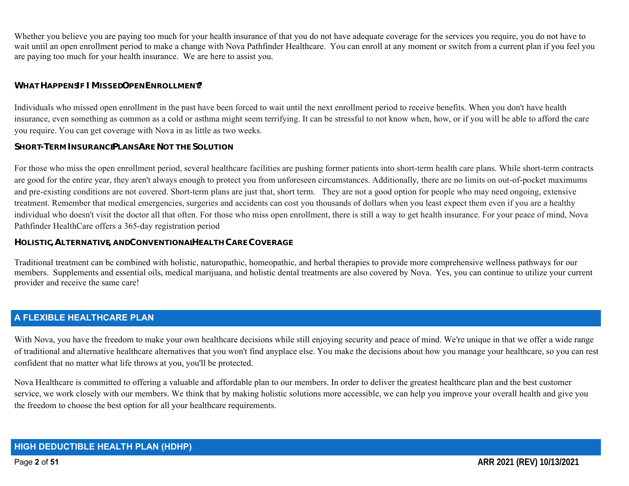Whether you believe you are paying too much for your health insurance of that you do not have adequate coverage for the services you require, you do not have to wait until an open enrollment period to make a change with Nova Pathfinder Healthcare. You can enroll at any moment or switch from a current plan if you feel you are paying too much for your health insurance. We are here to assist you.

#### **WHAT HAPPENS IF I MISSED OPEN ENROLLMENT?**

Individuals who missed open enrollment in the past have been forced to wait until the next enrollment period to receive benefits. When you don't have health insurance, even something as common as a cold or asthma might seem terrifying. It can be stressful to not know when, how, or if you will be able to afford the care you require. You can get coverage with Nova in as little as two weeks.

#### **SHORT-TERM INSURANCE PLANS ARE NOT THE SOLUTION**

For those who miss the open enrollment period, several healthcare facilities are pushing former patients into short-term health care plans. While short-term contracts are good for the entire year, they aren't always enough to protect you from unforeseen circumstances. Additionally, there are no limits on out-of-pocket maximums and pre-existing conditions are not covered. Short-term plans are just that, short term. They are not a good option for people who may need ongoing, extensive treatment. Remember that medical emergencies, surgeries and accidents can cost you thousands of dollars when you least expect them even if you are a healthy individual who doesn't visit the doctor all that often. For those who miss open enrollment, there is still a way to get health insurance. For your peace of mind, Nova Pathfinder HealthCare offers a 365-day registration period

#### **HOLISTIC,ALTERNATIVE, AND CONVENTIONAL HEALTH CARE COVERAGE**

Traditional treatment can be combined with holistic, naturopathic, homeopathic, and herbal therapies to provide more comprehensive wellness pathways for our members. Supplements and essential oils, medical marijuana, and holistic dental treatments are also covered by Nova. Yes, you can continue to utilize your current provider and receive the same care!

## **A FLEXIBLE HEALTHCARE PLAN**

With Nova, you have the freedom to make your own healthcare decisions while still enjoying security and peace of mind. We're unique in that we offer a wide range of traditional and alternative healthcare alternatives that you won't find anyplace else. You make the decisions about how you manage your healthcare, so you can rest confident that no matter what life throws at you, you'll be protected.

Nova Healthcare is committed to offering a valuable and affordable plan to our members. In order to deliver the greatest healthcare plan and the best customer service, we work closely with our members. We think that by making holistic solutions more accessible, we can help you improve your overall health and give you the freedom to choose the best option for all your healthcare requirements.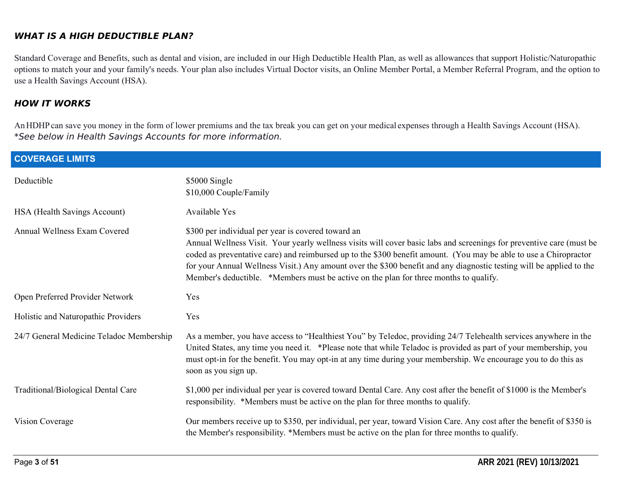#### **WHAT IS A HIGH DEDUCTIBLE PLAN?**

Standard Coverage and Benefits, such as dental and vision, are included in our High Deductible Health Plan, as well as allowances that support Holistic/Naturopathic options to match your and your family's needs. Your plan also includes Virtual Doctor visits, an Online Member Portal, a Member Referral Program, and the option to use a Health Savings Account (HSA).

#### **HOW IT WORKS**

AnHDHPcan save you money in the form of lower premiums and the tax break you can get on your medical expenses through a Health Savings Account (HSA). \*See below in Health Savings Accounts for more information.

| <b>COVERAGE LIMITS</b>                   |                                                                                                                                                                                                                                                                                                                                                                                                                                                                                                                  |
|------------------------------------------|------------------------------------------------------------------------------------------------------------------------------------------------------------------------------------------------------------------------------------------------------------------------------------------------------------------------------------------------------------------------------------------------------------------------------------------------------------------------------------------------------------------|
| Deductible                               | \$5000 Single<br>\$10,000 Couple/Family                                                                                                                                                                                                                                                                                                                                                                                                                                                                          |
| HSA (Health Savings Account)             | <b>Available Yes</b>                                                                                                                                                                                                                                                                                                                                                                                                                                                                                             |
| Annual Wellness Exam Covered             | \$300 per individual per year is covered toward an<br>Annual Wellness Visit. Your yearly wellness visits will cover basic labs and screenings for preventive care (must be<br>coded as preventative care) and reimbursed up to the \$300 benefit amount. (You may be able to use a Chiropractor<br>for your Annual Wellness Visit.) Any amount over the \$300 benefit and any diagnostic testing will be applied to the<br>Member's deductible. *Members must be active on the plan for three months to qualify. |
| Open Preferred Provider Network          | Yes                                                                                                                                                                                                                                                                                                                                                                                                                                                                                                              |
| Holistic and Naturopathic Providers      | Yes                                                                                                                                                                                                                                                                                                                                                                                                                                                                                                              |
| 24/7 General Medicine Teladoc Membership | As a member, you have access to "Healthiest You" by Teledoc, providing 24/7 Telehealth services anywhere in the<br>United States, any time you need it. *Please note that while Teladoc is provided as part of your membership, you<br>must opt-in for the benefit. You may opt-in at any time during your membership. We encourage you to do this as<br>soon as you sign up.                                                                                                                                    |
| Traditional/Biological Dental Care       | \$1,000 per individual per year is covered toward Dental Care. Any cost after the benefit of \$1000 is the Member's<br>responsibility. *Members must be active on the plan for three months to qualify.                                                                                                                                                                                                                                                                                                          |
| Vision Coverage                          | Our members receive up to \$350, per individual, per year, toward Vision Care. Any cost after the benefit of \$350 is<br>the Member's responsibility. *Members must be active on the plan for three months to qualify.                                                                                                                                                                                                                                                                                           |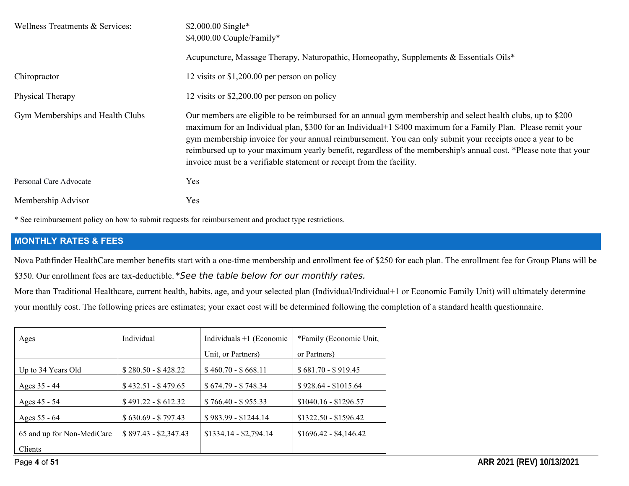| Wellness Treatments & Services:  | \$2,000.00 Single*<br>\$4,000.00 Couple/Family*                                                                                                                                                                                                                                                                                                                                                                                                                                                                                      |  |  |  |  |
|----------------------------------|--------------------------------------------------------------------------------------------------------------------------------------------------------------------------------------------------------------------------------------------------------------------------------------------------------------------------------------------------------------------------------------------------------------------------------------------------------------------------------------------------------------------------------------|--|--|--|--|
|                                  | Acupuncture, Massage Therapy, Naturopathic, Homeopathy, Supplements & Essentials Oils*                                                                                                                                                                                                                                                                                                                                                                                                                                               |  |  |  |  |
| Chiropractor                     | 12 visits or $$1,200.00$ per person on policy                                                                                                                                                                                                                                                                                                                                                                                                                                                                                        |  |  |  |  |
| Physical Therapy                 | 12 visits or \$2,200.00 per person on policy                                                                                                                                                                                                                                                                                                                                                                                                                                                                                         |  |  |  |  |
| Gym Memberships and Health Clubs | Our members are eligible to be reimbursed for an annual gym membership and select health clubs, up to \$200<br>maximum for an Individual plan, \$300 for an Individual+1 \$400 maximum for a Family Plan. Please remit your<br>gym membership invoice for your annual reimbursement. You can only submit your receipts once a year to be<br>reimbursed up to your maximum yearly benefit, regardless of the membership's annual cost. *Please note that your<br>invoice must be a verifiable statement or receipt from the facility. |  |  |  |  |
| Personal Care Advocate           | Yes                                                                                                                                                                                                                                                                                                                                                                                                                                                                                                                                  |  |  |  |  |
| Membership Advisor               | Yes                                                                                                                                                                                                                                                                                                                                                                                                                                                                                                                                  |  |  |  |  |

\* See reimbursement policy on how to submit requests for reimbursement and product type restrictions.

#### **MONTHLY RATES & FEES**

Nova Pathfinder HealthCare member benefits start with a one-time membership and enrollment fee of \$250 for each plan. The enrollment fee for Group Plans will be \$350. Our enrollment fees are tax-deductible. \*See the table below for our monthly rates.

More than Traditional Healthcare, current health, habits, age, and your selected plan (Individual/Individual+1 or Economic Family Unit) will ultimately determine your monthly cost. The following prices are estimates; your exact cost will be determined following the completion of a standard health questionnaire.

| Ages                       | Individual            | Individuals $+1$ (Economic | *Family (Economic Unit, |
|----------------------------|-----------------------|----------------------------|-------------------------|
|                            |                       | Unit, or Partners)         | or Partners)            |
| Up to 34 Years Old         | $$280.50 - $428.22$   | $$460.70 - $668.11$        | $$681.70 - $919.45$     |
| Ages 35 - 44               | $$432.51 - $479.65$   | $$674.79 - $748.34$        | $$928.64 - $1015.64$    |
| Ages 45 - 54               | $$491.22 - $612.32$   | $$766.40 - $955.33$        | $$1040.16 - $1296.57$   |
| Ages 55 - 64               | $$630.69 - $797.43$   | $$983.99 - $1244.14$       | $$1322.50 - $1596.42$   |
| 65 and up for Non-MediCare | $$897.43 - $2,347.43$ | $$1334.14 - $2,794.14$     | $$1696.42 - $4,146.42$  |
| Clients                    |                       |                            |                         |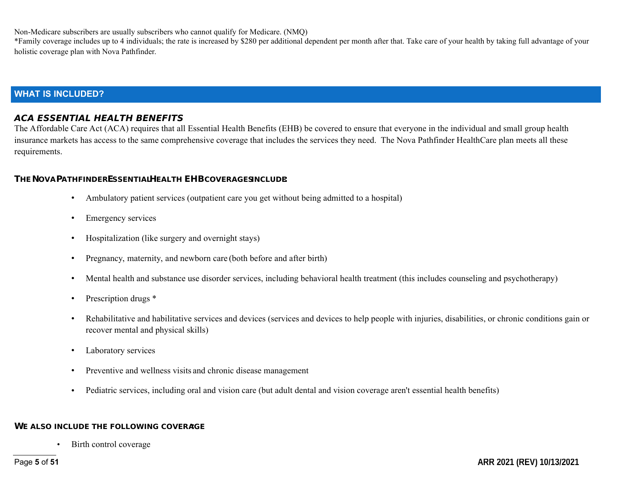Non-Medicare subscribers are usually subscribers who cannot qualify for Medicare. (NMQ)

\*Family coverage includes up to 4 individuals; the rate is increased by \$280 per additional dependent per month after that. Take care of your health by taking full advantage of your holistic coverage plan with Nova Pathfinder.

#### **WHAT IS INCLUDED?**

#### **ACA ESSENTIAL HEALTH BENEFITS**

The Affordable Care Act (ACA) requires that all Essential Health Benefits (EHB) be covered to ensure that everyone in the individual and small group health insurance markets has access to the same comprehensive coverage that includes the services they need. The Nova Pathfinder HealthCare plan meets all these requirements.

#### **THE NOVA PATHFINDERESSENTIAL HEALTH EHBCOVERAGESINCLUDE:**

- Ambulatory patient services (outpatient care you get without being admitted to a hospital)
- Emergency services
- Hospitalization (like surgery and overnight stays)
- Pregnancy, maternity, and newborn care (both before and after birth)
- Mental health and substance use disorder services, including behavioral health treatment (this includes counseling and psychotherapy)
- Prescription drugs  $*$
- Rehabilitative and habilitative services and devices (services and devices to help people with injuries, disabilities, or chronic conditions gain or recover mental and physical skills)
- Laboratory services
- Preventive and wellness visits and chronic disease management
- Pediatric services, including oral and vision care (but adult dental and vision coverage aren't essential health benefits)

#### **WE ALSO INCLUDE THE FOLLOWING COVERAGE :**

Birth control coverage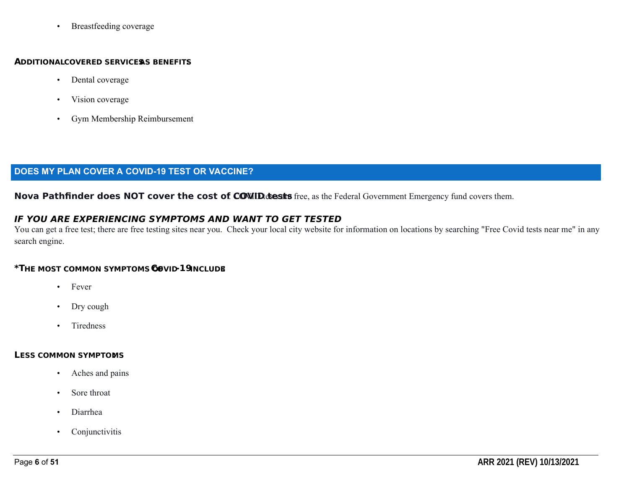• Breastfeeding coverage

#### **ADDITIONALCOVERED SERVICESAS BENEFITS:**

- Dental coverage
- Vision coverage
- Gym Membership Reimbursement

#### **DOES MY PLAN COVER A COVID-19 TEST OR VACCINE?**

Nova Pathfinder does NOT cover the cost of COVID the safe free, as the Federal Government Emergency fund covers them.

#### **IF YOU ARE EXPERIENCING SYMPTOMS AND WANT TO GET TESTED**

You can get a free test; there are free testing sites near you. Check your local city website for information on locations by searching "Free Covid tests near me" in any search engine.

#### **\*THE MOST COMMON SYMPTOMS OF COVID-19INCLUDE:**

- Fever
- Dry cough
- Tiredness

#### **LESS COMMON SYMPTOMS :**

- Aches and pains
- Sore throat
- Diarrhea
- Conjunctivitis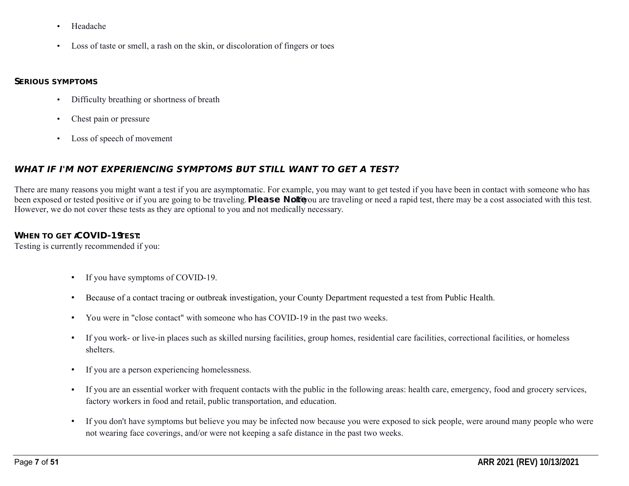- Headache
- Loss of taste or smell, a rash on the skin, or discoloration of fingers or toes

#### **SERIOUS SYMPTOMS:**

- Difficulty breathing or shortness of breath
- Chest pain or pressure
- Loss of speech of movement

#### **WHAT IF I'M NOT EXPERIENCING SYMPTOMS BUT STILL WANT TO GET A TEST?**

There are many reasons you might want a test if you are asymptomatic. For example, you may want to get tested if you have been in contact with someone who has been exposed or tested positive or if you are going to be traveling. **Please Note** ou are traveling or need a rapid test, there may be a cost associated with this test. However, we do not cover these tests as they are optional to you and not medically necessary.

#### **WHEN TO GET COVID-19EST.**

Testing is currently recommended if you:

- If you have symptoms of COVID-19.
- Because of a contact tracing or outbreak investigation, your County Department requested a test from Public Health.
- You were in "close contact" with someone who has COVID-19 in the past two weeks.
- If you work- or live-in places such as skilled nursing facilities, group homes, residential care facilities, correctional facilities, or homeless shelters.
- If you are a person experiencing homelessness.
- If you are an essential worker with frequent contacts with the public in the following areas: health care, emergency, food and grocery services, factory workers in food and retail, public transportation, and education.
- If you don't have symptoms but believe you may be infected now because you were exposed to sick people, were around many people who were not wearing face coverings, and/or were not keeping a safe distance in the past two weeks.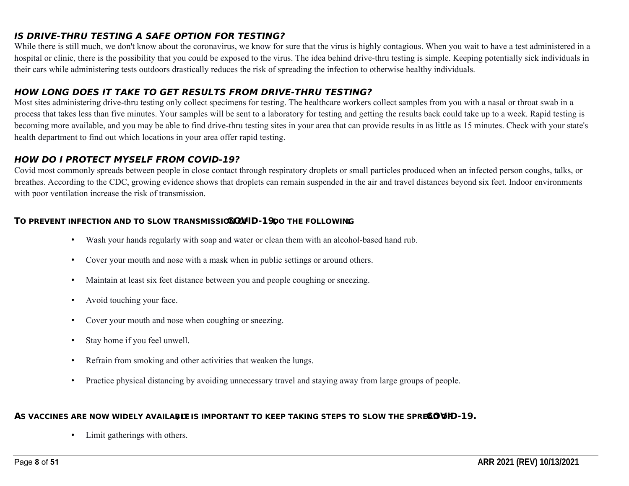#### **IS DRIVE-THRU TESTING A SAFE OPTION FOR TESTING?**

While there is still much, we don't know about the coronavirus, we know for sure that the virus is highly contagious. When you wait to have a test administered in a hospital or clinic, there is the possibility that you could be exposed to the virus. The idea behind drive-thru testing is simple. Keeping potentially sick individuals in their cars while administering tests outdoors drastically reduces the risk of spreading the infection to otherwise healthy individuals.

#### **HOW LONG DOES IT TAKE TO GET RESULTS FROM DRIVE-THRU TESTING?**

Most sites administering drive-thru testing only collect specimens for testing. The healthcare workers collect samples from you with a nasal or throat swab in a process that takes less than five minutes. Your samples will be sent to a laboratory for testing and getting the results back could take up to a week. Rapid testing is becoming more available, and you may be able to find drive-thru testing sites in your area that can provide results in as little as 15 minutes. Check with your state's health department to find out which locations in your area offer rapid testing.

#### **HOW DO I PROTECT MYSELF FROM COVID-19?**

Covid most commonly spreads between people in close contact through respiratory droplets or small particles produced when an infected person coughs, talks, or breathes. According to the CDC, growing evidence shows that droplets can remain suspended in the air and travel distances beyond six feet. Indoor environments with poor ventilation increase the risk of transmission.

#### **TO PREVENT INFECTION AND TO SLOW TRANSMISSION OF COVID-19,DO THE FOLLOWING:**

- Wash your hands regularly with soap and water or clean them with an alcohol-based hand rub.
- Cover your mouth and nose with a mask when in public settings or around others.
- Maintain at least six feet distance between you and people coughing or sneezing.
- Avoid touching your face.
- Cover your mouth and nose when coughing or sneezing.
- Stay home if you feel unwell.
- Refrain from smoking and other activities that weaken the lungs.
- Practice physical distancing by avoiding unnecessary travel and staying away from large groups of people.

#### AS VACCINES ARE NOW WIDELY AVAILABLE IS IMPORTANT TO KEEP TAKING STEPS TO SLOW THE SPREAD VID-19.

• Limit gatherings with others.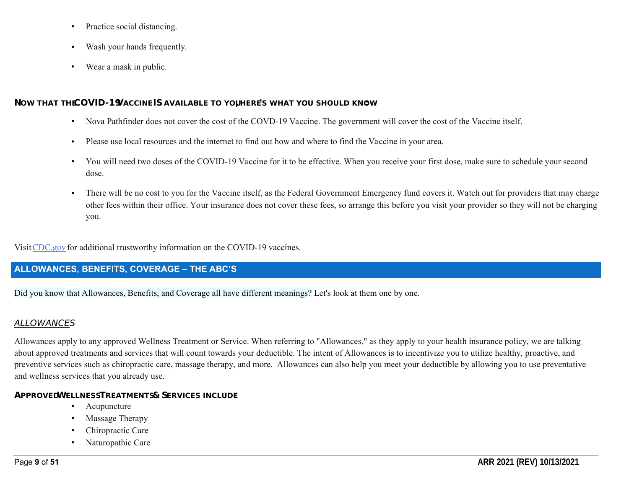- Practice social distancing.
- Wash your hands frequently.
- Wear a mask in public.

#### **NOW THAT THE COVID-19VACCINE IS AVAILABLE TO YOU, HERE'S WHAT YOU SHOULD KNOW:**

- Nova Pathfinder does not cover the cost of the COVD-19 Vaccine. The government will cover the cost of the Vaccine itself.
- Please use local resources and the internet to find out how and where to find the Vaccine in your area.
- You will need two doses of the COVID-19 Vaccine for it to be effective. When you receive your first dose, make sure to schedule your second dose.
- There will be no cost to you for the Vaccine itself, as the Federal Government Emergency fund covers it. Watch out for providers that may charge other fees within their office. Your insurance does not cover these fees, so arrange this before you visit your provider so they will not be charging you.

VisitCDC.gov for additional trustworthy information on the COVID-19 vaccines.

# **ALLOWANCES, BENEFITS, COVERAGE – THE ABC'S**

Did you know that Allowances, Benefits, and Coverage all have different meanings? Let's look at them one by one.

# **ALLOWANCES**

Allowances apply to any approved Wellness Treatment or Service. When referring to "Allowances," as they apply to your health insurance policy, we are talking about approved treatments and services that will count towards your deductible. The intent of Allowances is to incentivize you to utilize healthy, proactive, and preventive services such as chiropractic care, massage therapy, and more. Allowances can also help you meet your deductible by allowing you to use preventative and wellness services that you already use.

# **APPROVEDWELLNESSTREATMENTS& SERVICES INCLUDE**

- Acupuncture
- Massage Therapy
- Chiropractic Care
- Naturopathic Care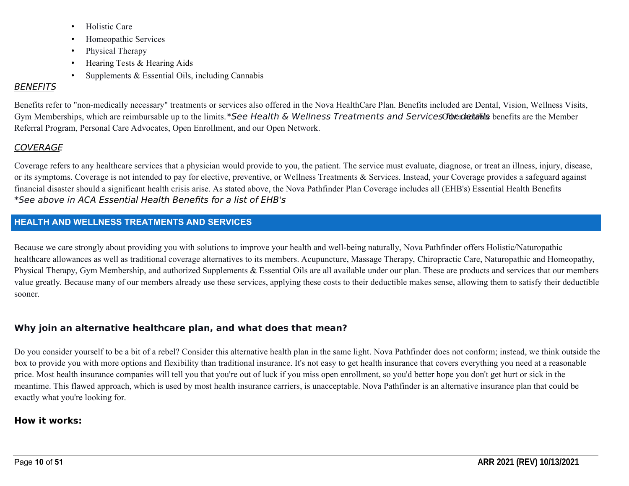- Holistic Care
- Homeopathic Services
- Physical Therapy
- Hearing Tests & Hearing Aids
- Supplements & Essential Oils, including Cannabis

# **BENEFITS**

Benefits refer to "non-medically necessary" treatments or services also offered in the Nova HealthCare Plan. Benefits included are Dental, Vision, Wellness Visits, Gym Memberships, which are reimbursable up to the limits. \*See Health & Wellness Treatments and Services for edatable benefits are the Member Referral Program, Personal Care Advocates, Open Enrollment, and our Open Network.

# **COVERAGE**

Coverage refers to any healthcare services that a physician would provide to you, the patient. The service must evaluate, diagnose, or treat an illness, injury, disease, or its symptoms. Coverage is not intended to pay for elective, preventive, or Wellness Treatments & Services. Instead, your Coverage provides a safeguard against financial disaster should a significant health crisis arise. As stated above, the Nova Pathfinder Plan Coverage includes all (EHB's) Essential Health Benefits \*See above in ACA Essential Health Benefits for a list of EHB's

## **HEALTH AND WELLNESS TREATMENTS AND SERVICES**

Because we care strongly about providing you with solutions to improve your health and well-being naturally, Nova Pathfinder offers Holistic/Naturopathic healthcare allowances as well as traditional coverage alternatives to its members. Acupuncture, Massage Therapy, Chiropractic Care, Naturopathic and Homeopathy, Physical Therapy, Gym Membership, and authorized Supplements & Essential Oils are all available under our plan. These are products and services that our members value greatly. Because many of our members already use these services, applying these costs to their deductible makes sense, allowing them to satisfy their deductible sooner.

# **Why join an alternative healthcare plan, and what does that mean?**

Do you consider yourself to be a bit of a rebel? Consider this alternative health plan in the same light. Nova Pathfinder does not conform; instead, we think outside the box to provide you with more options and flexibility than traditional insurance. It's not easy to get health insurance that covers everything you need at a reasonable price. Most health insurance companies will tell you that you're out of luck if you miss open enrollment, so you'd better hope you don't get hurt or sick in the meantime. This flawed approach, which is used by most health insurance carriers, is unacceptable. Nova Pathfinder is an alternative insurance plan that could be exactly what you're looking for.

## **How it works:**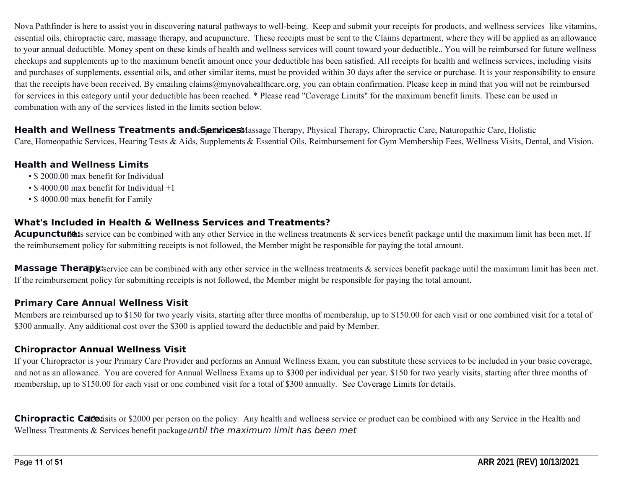Nova Pathfinder is here to assist you in discovering natural pathways to well-being. Keep and submit your receipts for products, and wellness services like vitamins, essential oils, chiropractic care, massage therapy, and acupuncture. These receipts must be sent to the Claims department, where they will be applied as an allowance to your annual deductible. Money spent on these kinds of health and wellness services will count toward your deductible.. You will be reimbursed for future wellness checkups and supplements up to the maximum benefit amount once your deductible has been satisfied. All receipts for health and wellness services, including visits and purchases of supplements, essential oils, and other similar items, must be provided within 30 days after the service or purchase. It is your responsibility to ensure that the receipts have been received. By emailing claims@mynovahealthcare.org, you can obtain confirmation. Please keep in mind that you will not be reimbursed for services in this category until your deductible has been reached. \* Please read "Coverage Limits" for the maximum benefit limits. These can be used in combination with any of the services listed in the limits section below.

Health and Wellness Treatments and C**Service**sMassage Therapy, Physical Therapy, Chiropractic Care, Naturopathic Care, Holistic Care, Homeopathic Services, Hearing Tests & Aids, Supplements & Essential Oils, Reimbursement for Gym Membership Fees, Wellness Visits, Dental, and Vision.

#### **Health and Wellness Limits**

- \$ 2000.00 max benefit for Individual
- \$4000.00 max benefit for Individual +1
- \$ 4000.00 max benefit for Family

#### **What's Included in Health & Wellness Services and Treatments?**

**Acupuncture:** Service can be combined with any other Service in the wellness treatments & services benefit package until the maximum limit has been met. If the reimbursement policy for submitting receipts is not followed, the Member might be responsible for paying the total amount.

**Massage Therapy:** service can be combined with any other service in the wellness treatments  $\&$  services benefit package until the maximum limit has been met. If the reimbursement policy for submitting receipts is not followed, the Member might be responsible for paying the total amount.

#### **Primary Care Annual Wellness Visit**

Members are reimbursed up to \$150 for two yearly visits, starting after three months of membership, up to \$150.00 for each visit or one combined visit for a total of \$300 annually. Any additional cost over the \$300 is applied toward the deductible and paid by Member.

#### **Chiropractor Annual Wellness Visit**

If your Chiropractor is your Primary Care Provider and performs an Annual Wellness Exam, you can substitute these services to be included in your basic coverage, and not as an allowance. You are covered for Annual Wellness Exams up to \$300 per individual per year. \$150 for two yearly visits, starting after three months of membership, up to \$150.00 for each visit or one combined visit for a total of \$300 annually. See Coverage Limits for details.

**Chiropractic Care:** 12000 per person on the policy. Any health and wellness service or product can be combined with any Service in the Health and Wellness Treatments  $&$  Services benefit package until the maximum limit has been met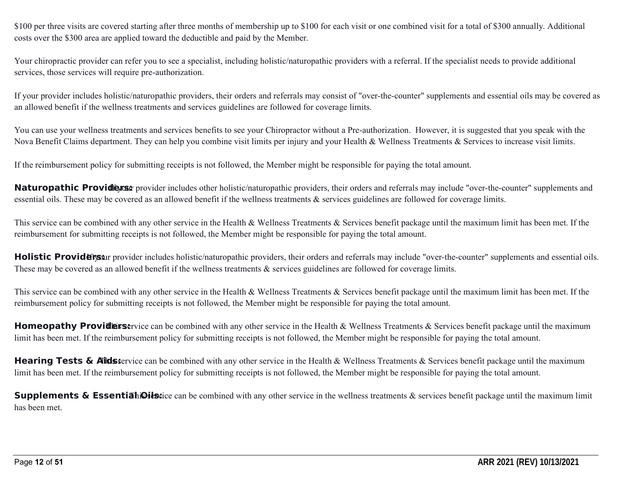\$100 per three visits are covered starting after three months of membership up to \$100 for each visit or one combined visit for a total of \$300 annually. Additional costs over the \$300 area are applied toward the deductible and paid by the Member.

Your chiropractic provider can refer you to see a specialist, including holistic/naturopathic providers with a referral. If the specialist needs to provide additional services, those services will require pre-authorization.

If your provider includes holistic/naturopathic providers, their orders and referrals may consist of "over-the-counter" supplements and essential oils may be covered as an allowed benefit if the wellness treatments and services guidelines are followed for coverage limits.

You can use your wellness treatments and services benefits to see your Chiropractor without a Pre-authorization. However, it is suggested that you speak with the Nova Benefit Claims department. They can help you combine visit limits per injury and your Health & Wellness Treatments & Services to increase visit limits.

If the reimbursement policy for submitting receipts is not followed, the Member might be responsible for paying the total amount.

Naturopathic Providens: provider includes other holistic/naturopathic providers, their orders and referrals may include "over-the-counter" supplements and essential oils. These may be covered as an allowed benefit if the wellness treatments & services guidelines are followed for coverage limits.

This service can be combined with any other service in the Health  $\&$  Wellness Treatments  $\&$  Services benefit package until the maximum limit has been met. If the reimbursement for submitting receipts is not followed, the Member might be responsible for paying the total amount.

**Holistic Providers:** If you provider includes holistic/naturopathic providers, their orders and referrals may include "over-the-counter" supplements and essential oils. These may be covered as an allowed benefit if the wellness treatments  $\&$  services guidelines are followed for coverage limits.

This service can be combined with any other service in the Health & Wellness Treatments  $\&$  Services benefit package until the maximum limit has been met. If the reimbursement policy for submitting receipts is not followed, the Member might be responsible for paying the total amount.

**Homeopathy Providers:** The can be combined with any other service in the Health & Wellness Treatments & Services benefit package until the maximum limit has been met. If the reimbursement policy for submitting receipts is not followed, the Member might be responsible for paying the total amount.

Hearing Tests & Aidsservice can be combined with any other service in the Health & Wellness Treatments & Services benefit package until the maximum limit has been met. If the reimbursement policy for submitting receipts is not followed, the Member might be responsible for paying the total amount.

**Supplements & Essentiah Oils:** Can be combined with any other service in the wellness treatments & services benefit package until the maximum limit has been met.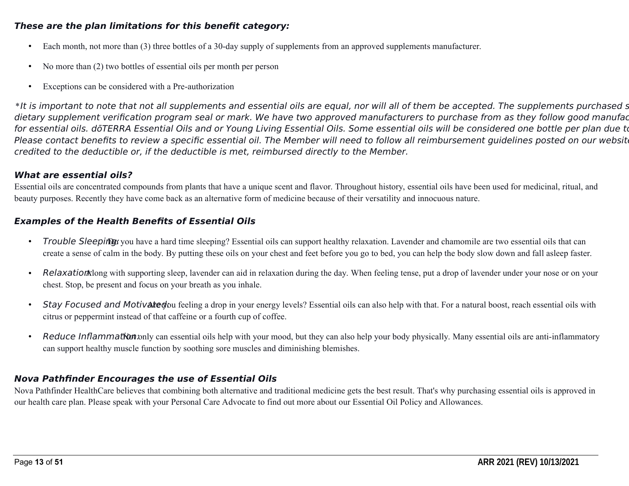#### **These are the plan limitations for this benefit category:**

- Each month, not more than (3) three bottles of a 30-day supply of supplements from an approved supplements manufacturer.
- No more than (2) two bottles of essential oils per month per person
- Exceptions can be considered with a Pre-authorization

\*It is important to note that not all supplements and essential oils are equal, nor will all of them be accepted. The supplements purchased s dietary supplement verification program seal or mark. We have two approved manufacturers to purchase from as they follow good manufac for essential oils. dōTERRA Essential Oils and or Young Living Essential Oils. Some essential oils will be considered one bottle per plan due to Please contact benefits to review a specific essential oil. The Member will need to follow all reimbursement guidelines posted on our website credited to the deductible or, if the deductible is met, reimbursed directly to the Member.

#### **What are essential oils?**

Essential oils are concentrated compounds from plants that have a unique scent and flavor. Throughout history, essential oils have been used for medicinal, ritual, and beauty purposes. Recently they have come back as an alternative form of medicine because of their versatility and innocuous nature.

#### **Examples of the Health Benefits of Essential Oils**

- Trouble Sleeping you have a hard time sleeping? Essential oils can support healthy relaxation. Lavender and chamomile are two essential oils that can create a sense of calm in the body. By putting these oils on your chest and feet before you go to bed, you can help the body slow down and fall asleep faster.
- Relaxation Nong with supporting sleep, lavender can aid in relaxation during the day. When feeling tense, put a drop of lavender under your nose or on your chest. Stop, be present and focus on your breath as you inhale.
- Stay Focused and Motivated ou feeling a drop in your energy levels? Essential oils can also help with that. For a natural boost, reach essential oils with citrus or peppermint instead of that caffeine or a fourth cup of coffee.
- Reduce Inflammation: Not only can essential oils help with your mood, but they can also help your body physically. Many essential oils are anti-inflammatory can support healthy muscle function by soothing sore muscles and diminishing blemishes.

#### **Nova Pathfinder Encourages the use of Essential Oils**

Nova Pathfinder HealthCare believes that combining both alternative and traditional medicine gets the best result. That's why purchasing essential oils is approved in our health care plan. Please speak with your Personal Care Advocate to find out more about our Essential Oil Policy and Allowances.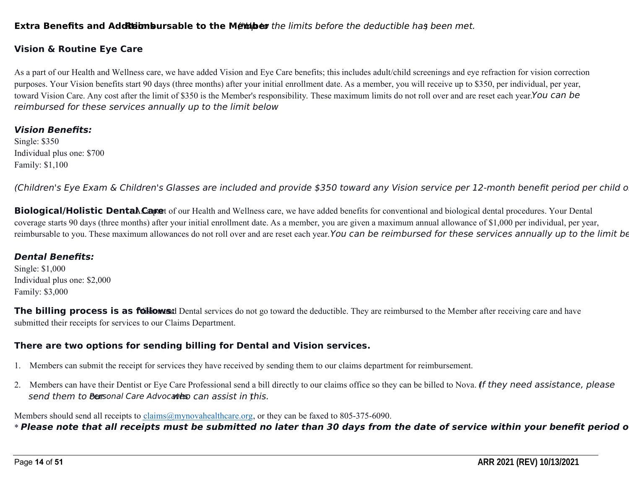#### **Extra Benefits and Additions Repart is the Member** the limits before the deductible has been met.

#### **Vision & Routine Eye Care**

As a part of our Health and Wellness care, we have added Vision and Eye Care benefits; this includes adult/child screenings and eye refraction for vision correction purposes. Your Vision benefits start 90 days (three months) after your initial enrollment date. As a member, you will receive up to \$350, per individual, per year, toward Vision Care. Any cost after the limit of \$350 is the Member's responsibility. These maximum limits do not roll over and are reset each year.You can be reimbursed for these services annually up to the limit below

#### **Vision Benefits:**

Single: \$350 Individual plus one: \$700 Family: \$1,100

(Children's Eye Exam & Children's Glasses are included and provide \$350 toward any Vision service per 12-month benefit period per child o

**Biological/Holistic Dental Cape**t of our Health and Wellness care, we have added benefits for conventional and biological dental procedures. Your Dental coverage starts 90 days (three months) after your initial enrollment date. As a member, you are given a maximum annual allowance of \$1,000 per individual, per year, reimbursable to you. These maximum allowances do not roll over and are reset each year. You can be reimbursed for these services annually up to the limit be

#### **Dental Benefits:**

Single: \$1,000 Individual plus one: \$2,000 Family: \$3,000

**The billing process is as follows:** Dental services do not go toward the deductible. They are reimbursed to the Member after receiving care and have submitted their receipts for services to our Claims Department.

#### **There are two options for sending billing for Dental and Vision services.**

- 1. Members can submit the receipt for services they have received by sending them to our claims department for reimbursement.
- 2. Members can have their Dentist or Eye Care Professional send a bill directly to our claims office so they can be billed to Nova. (f they need assistance, please send them to bersonal Care Advocates can assist in this.

Members should send all receipts to claims@mynovahealthcare.org, or they can be faxed to 805-375-6090.

\* Please note that all receipts must be submitted no later than 30 days from the date of service within your benefit period o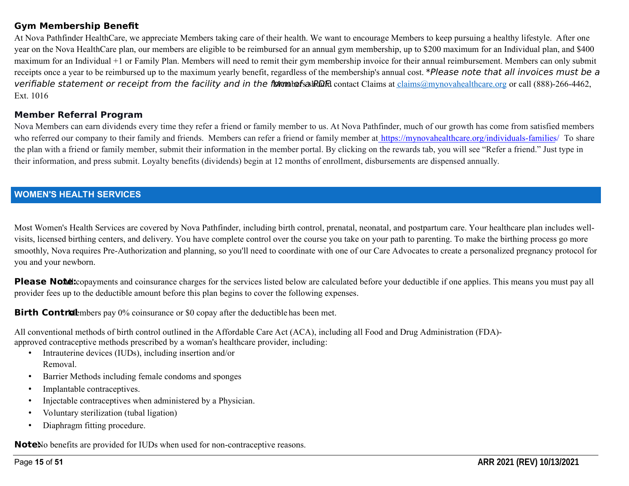#### **Gym Membership Benefit**

At Nova Pathfinder HealthCare, we appreciate Members taking care of their health. We want to encourage Members to keep pursuing a healthy lifestyle. After one year on the Nova HealthCare plan, our members are eligible to be reimbursed for an annual gym membership, up to \$200 maximum for an Individual plan, and \$400 maximum for an Individual +1 or Family Plan. Members will need to remit their gym membership invoice for their annual reimbursement. Members can only submit receipts once a year to be reimbursed up to the maximum yearly benefit, regardless of the membership's annual cost. \*Please note that all invoices must be a verifiable statement or receipt from the facility and in the form before  $R$  and  $R$  contact Claims at claims  $@$ mynovahealthcare.org or call (888)-266-4462, Ext. 1016

#### **Member Referral Program**

Nova Members can earn dividends every time they refer a friend or family member to us. At Nova Pathfinder, much of our growth has come from satisfied members who referred our company to their family and friends. Members can refer a friend or family member at https://mynovahealthcare.org/individuals-families/ To share the plan with a friend or family member, submit their information in the member portal. By clicking on the rewards tab, you will see "Refer a friend." Just type in their information, and press submit. Loyalty benefits (dividends) begin at 12 months of enrollment, disbursements are dispensed annually.

#### **WOMEN'S HEALTH SERVICES**

Most Women's Health Services are covered by Nova Pathfinder, including birth control, prenatal, neonatal, and postpartum care. Your healthcare plan includes wellvisits, licensed birthing centers, and delivery. You have complete control over the course you take on your path to parenting. To make the birthing process go more smoothly, Nova requires Pre-Authorization and planning, so you'll need to coordinate with one of our Care Advocates to create a personalized pregnancy protocol for you and your newborn.

**Please Note:** copayments and coinsurance charges for the services listed below are calculated before your deductible if one applies. This means you must pay all provider fees up to the deductible amount before this plan begins to cover the following expenses.

**Birth Control** embers pay 0% coinsurance or \$0 copay after the deductible has been met.

All conventional methods of birth control outlined in the Affordable Care Act (ACA), including all Food and Drug Administration (FDA) approved contraceptive methods prescribed by a woman's healthcare provider, including:

- Intrauterine devices (IUDs), including insertion and/or Removal.
- Barrier Methods including female condoms and sponges
- Implantable contraceptives.
- Injectable contraceptives when administered by a Physician.
- Voluntary sterilization (tubal ligation)
- Diaphragm fitting procedure.

**Note**No benefits are provided for IUDs when used for non-contraceptive reasons.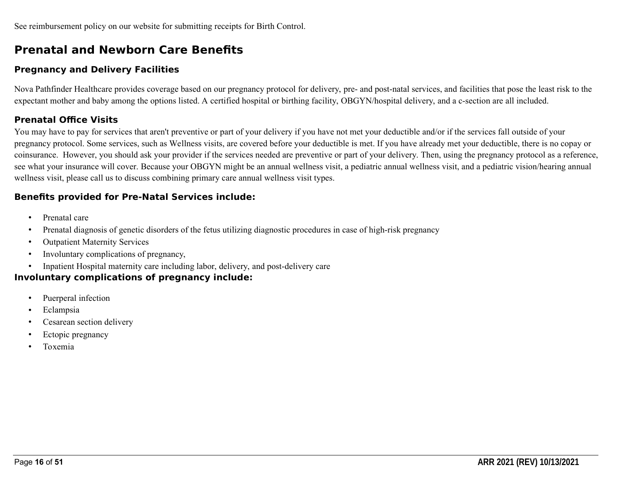# **Prenatal and Newborn Care Benefits**

# **Pregnancy and Delivery Facilities**

Nova Pathfinder Healthcare provides coverage based on our pregnancy protocol for delivery, pre- and post-natal services, and facilities that pose the least risk to the expectant mother and baby among the options listed. A certified hospital or birthing facility, OBGYN/hospital delivery, and a c-section are all included.

# **Prenatal Office Visits**

You may have to pay for services that aren't preventive or part of your delivery if you have not met your deductible and/or if the services fall outside of your pregnancy protocol. Some services, such as Wellness visits, are covered before your deductible is met. If you have already met your deductible, there is no copay or coinsurance. However, you should ask your provider if the services needed are preventive or part of your delivery. Then, using the pregnancy protocol as a reference, see what your insurance will cover. Because your OBGYN might be an annual wellness visit, a pediatric annual wellness visit, and a pediatric vision/hearing annual wellness visit, please call us to discuss combining primary care annual wellness visit types.

# **Benefits provided for Pre-Natal Services include:**

- Prenatal care
- Prenatal diagnosis of genetic disorders of the fetus utilizing diagnostic procedures in case of high-risk pregnancy
- Outpatient Maternity Services
- Involuntary complications of pregnancy,
- Inpatient Hospital maternity care including labor, delivery, and post-delivery care

## **Involuntary complications of pregnancy include:**

- Puerperal infection
- Eclampsia
- Cesarean section delivery
- Ectopic pregnancy
- Toxemia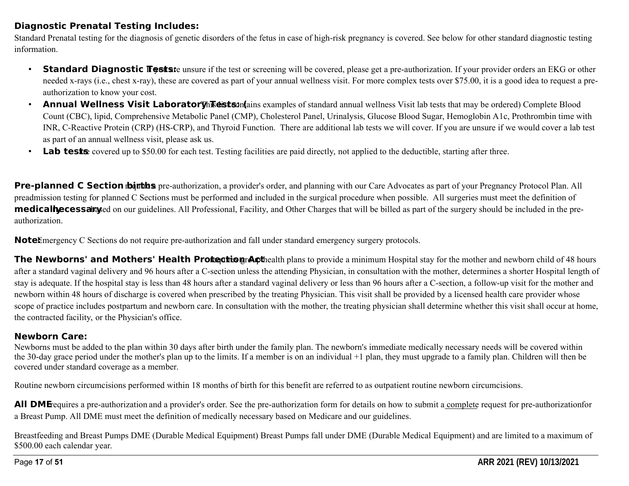## **Diagnostic Prenatal Testing Includes:**

Standard Prenatal testing for the diagnosis of genetic disorders of the fetus in case of high-risk pregnancy is covered. See below for other standard diagnostic testing information.

- **Standard Diagnostic Fests: If the test or screening will be covered, please get a pre-authorization. If your provider orders an EKG or other** needed x-rays (i.e., chest x-ray), these are covered as part of your annual wellness visit. For more complex tests over \$75.00, it is a good idea to request a preauthorization to know your cost.
- **Annual Wellness Visit Laborator This distiss:** *Atamples of standard annual wellness Visit lab tests that may be ordered*) Complete Blood Count (CBC), lipid, Comprehensive Metabolic Panel (CMP), Cholesterol Panel, Urinalysis, Glucose Blood Sugar, Hemoglobin A1c, Prothrombin time with INR, C-Reactive Protein (CRP) (HS-CRP), and Thyroid Function. There are additional lab tests we will cover. If you are unsure if we would cover a lab test as part of an annual wellness visit, please ask us.
- Lab tests covered up to \$50.00 for each test. Testing facilities are paid directly, not applied to the deductible, starting after three.

**Pre-planned C Section dout the s** pre-authorization, a provider's order, and planning with our Care Advocates as part of your Pregnancy Protocol Plan. All preadmission testing for planned C Sections must be performed and included in the surgical procedure when possible. All surgeries must meet the definition of **medically ecessary** bed on our guidelines. All Professional, Facility, and Other Charges that will be billed as part of the surgery should be included in the preauthorization.

**Note** Emergency C Sections do not require pre-authorization and fall under standard emergency surgery protocols.

**The Newborns' and Mothers' Health Protection Apthealth plans to provide a minimum Hospital stay for the mother and newborn child of 48 hours** after a standard vaginal delivery and 96 hours after a C-section unless the attending Physician, in consultation with the mother, determines a shorter Hospital length of stay is adequate. If the hospital stay is less than 48 hours after a standard vaginal delivery or less than 96 hours after a C-section, a follow-up visit for the mother and newborn within 48 hours of discharge is covered when prescribed by the treating Physician. This visit shall be provided by a licensed health care provider whose scope of practice includes postpartum and newborn care. In consultation with the mother, the treating physician shall determine whether this visit shall occur at home, the contracted facility, or the Physician's office.

## **Newborn Care:**

Newborns must be added to the plan within 30 days after birth under the family plan. The newborn's immediate medically necessary needs will be covered within the 30-day grace period under the mother's plan up to the limits. If a member is on an individual +1 plan, they must upgrade to a family plan. Children will then be covered under standard coverage as a member.

Routine newborn circumcisions performed within 18 months of birth for this benefit are referred to as outpatient routine newborn circumcisions.

**All DME**requires a pre-authorization and a provider's order. See the pre-authorization form for details on how to submit a complete request for pre-authorizationfor a Breast Pump. All DME must meet the definition of medically necessary based on Medicare and our guidelines.

Breastfeeding and Breast Pumps DME (Durable Medical Equipment) Breast Pumps fall under DME (Durable Medical Equipment) and are limited to a maximum of \$500.00 each calendar year.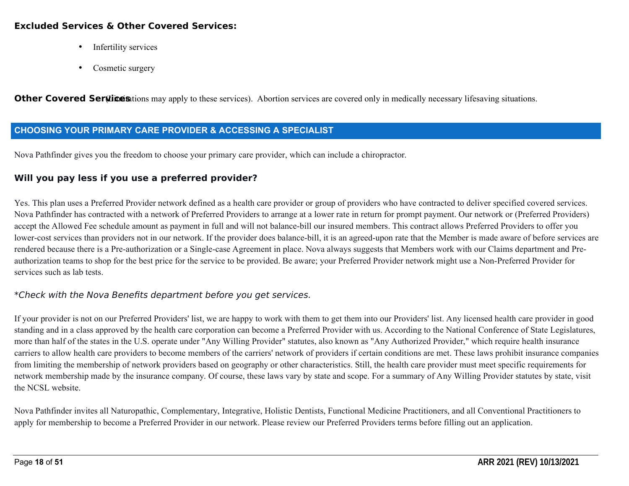#### **Excluded Services & Other Covered Services:**

- Infertility services
- Cosmetic surgery

**Other Covered Services** entirely to these services). Abortion services are covered only in medically necessary lifesaving situations.

#### **CHOOSING YOUR PRIMARY CARE PROVIDER & ACCESSING A SPECIALIST**

Nova Pathfinder gives you the freedom to choose your primary care provider, which can include a chiropractor.

#### **Will you pay less if you use a preferred provider?**

Yes. This plan uses a Preferred Provider network defined as a health care provider or group of providers who have contracted to deliver specified covered services. Nova Pathfinder has contracted with a network of Preferred Providers to arrange at a lower rate in return for prompt payment. Our network or (Preferred Providers) accept the Allowed Fee schedule amount as payment in full and will not balance-bill our insured members. This contract allows Preferred Providers to offer you lower-cost services than providers not in our network. If the provider does balance-bill, it is an agreed-upon rate that the Member is made aware of before services are rendered because there is a Pre-authorization or a Single-case Agreement in place. Nova always suggests that Members work with our Claims department and Preauthorization teams to shop for the best price for the service to be provided. Be aware; your Preferred Provider network might use a Non-Preferred Provider for services such as lab tests.

#### \*Check with the Nova Benefits department before you get services.

If your provider is not on our Preferred Providers' list, we are happy to work with them to get them into our Providers' list. Any licensed health care provider in good standing and in a class approved by the health care corporation can become a Preferred Provider with us. According to the National Conference of State Legislatures, more than half of the states in the U.S. operate under "Any Willing Provider" statutes, also known as "Any Authorized Provider," which require health insurance carriers to allow health care providers to become members of the carriers' network of providers if certain conditions are met. These laws prohibit insurance companies from limiting the membership of network providers based on geography or other characteristics. Still, the health care provider must meet specific requirements for network membership made by the insurance company. Of course, these laws vary by state and scope. For a summary of Any Willing Provider statutes by state, visit the NCSL website.

Nova Pathfinder invites all Naturopathic, Complementary, Integrative, Holistic Dentists, Functional Medicine Practitioners, and all Conventional Practitioners to apply for membership to become a Preferred Provider in our network. Please review our Preferred Providers terms before filling out an application.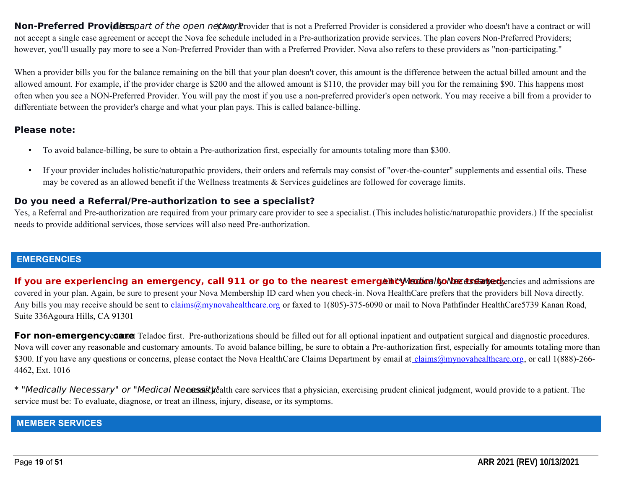**Non-Preferred Providers** part of the open network rovider that is not a Preferred Provider is considered a provider who doesn't have a contract or will not accept a single case agreement or accept the Nova fee schedule included in a Pre-authorization provide services. The plan covers Non-Preferred Providers; however, you'll usually pay more to see a Non-Preferred Provider than with a Preferred Provider. Nova also refers to these providers as "non-participating."

When a provider bills you for the balance remaining on the bill that your plan doesn't cover, this amount is the difference between the actual billed amount and the allowed amount. For example, if the provider charge is \$200 and the allowed amount is \$110, the provider may bill you for the remaining \$90. This happens most often when you see a NON-Preferred Provider. You will pay the most if you use a non-preferred provider's open network. You may receive a bill from a provider to differentiate between the provider's charge and what your plan pays. This is called balance-billing.

#### **Please note:**

- To avoid balance-billing, be sure to obtain a Pre-authorization first, especially for amounts totaling more than \$300.
- If your provider includes holistic/naturopathic providers, their orders and referrals may consist of "over-the-counter" supplements and essential oils. These may be covered as an allowed benefit if the Wellness treatments & Services guidelines are followed for coverage limits.

#### **Do you need a Referral/Pre-authorization to see a specialist?**

Yes, a Referral and Pre-authorization are required from your primary care provider to see a specialist.(This includes holistic/naturopathic providers.) If the specialist needs to provide additional services, those services will also need Pre-authorization.

#### **EMERGENCIES**

If you are experiencing an emergency, call 911 or go to the nearest emergency Medical bonder dramaged pencies and admissions are covered in your plan. Again, be sure to present your Nova Membership ID card when you check-in. Nova HealthCare prefers that the providers bill Nova directly. Any bills you may receive should be sent to *claims@mynovahealthcare.org* or faxed to 1(805)-375-6090 or mail to Nova Pathfinder HealthCare5739 Kanan Road, Suite 336Agoura Hills, CA 91301

**For non-emergency contact** Teladoc first. Pre-authorizations should be filled out for all optional inpatient and outpatient surgical and diagnostic procedures. Nova will cover any reasonable and customary amounts. To avoid balance billing, be sure to obtain a Pre-authorization first, especially for amounts totaling more than \$300. If you have any questions or concerns, please contact the Nova HealthCare Claims Department by email at claims@mynovahealthcare.org, or call 1(888)-266-4462, Ext. 1016

\* "Medically Necessary" or "Medical Necessity state that a physicial exercising prudent clinical judgment, would provide to a patient. The service must be: To evaluate, diagnose, or treat an illness, injury, disease, or its symptoms.

#### **MEMBER SERVICES**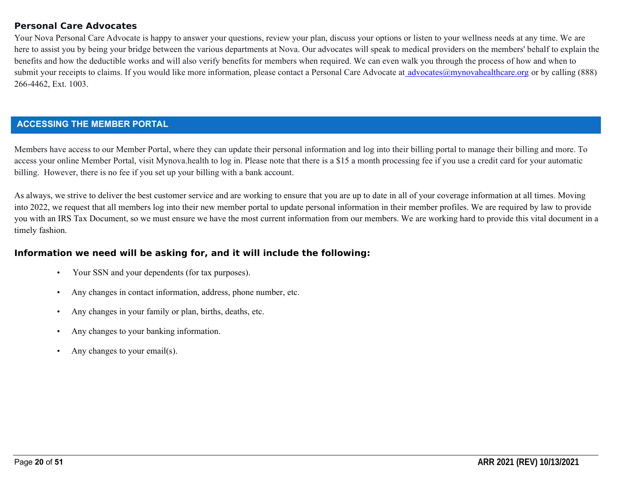#### **Personal Care Advocates**

Your Nova Personal Care Advocate is happy to answer your questions, review your plan, discuss your options or listen to your wellness needs at any time. We are here to assist you by being your bridge between the various departments at Nova. Our advocates will speak to medical providers on the members' behalf to explain the benefits and how the deductible works and will also verify benefits for members when required. We can even walk you through the process of how and when to submit your receipts to claims. If you would like more information, please contact a Personal Care Advocate at advocates@mynovahealthcare.org or by calling (888) 266-4462, Ext. 1003.

#### **ACCESSING THE MEMBER PORTAL**

Members have access to our Member Portal, where they can update their personal information and log into their billing portal to manage their billing and more. To access your online Member Portal, visit Mynova.health to log in. Please note that there is a \$15 a month processing fee if you use a credit card for your automatic billing. However, there is no fee if you set up your billing with a bank account.

As always, we strive to deliver the best customer service and are working to ensure that you are up to date in all of your coverage information at all times. Moving into 2022, we request that all members log into their new member portal to update personal information in their member profiles. We are required by law to provide you with an IRS Tax Document, so we must ensure we have the most current information from our members. We are working hard to provide this vital document in a timely fashion.

#### **Information we need will be asking for, and it will include the following:**

- Your SSN and your dependents (for tax purposes).
- Any changes in contact information, address, phone number, etc.
- Any changes in your family or plan, births, deaths, etc.
- Any changes to your banking information.
- Any changes to your email(s).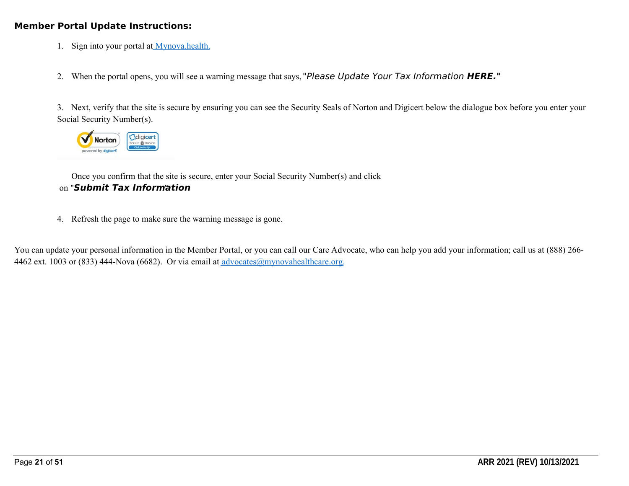#### **Member Portal Update Instructions:**

- 1. Sign into your portal at Mynova.health.
- 2. When the portal opens, you will see a warning message that says, "Please Update Your Tax Information **HERE."**

3. Next, verify that the site is secure by ensuring you can see the Security Seals of Norton and Digicert below the dialogue box before you enter your Social Security Number(s).



Once you confirm that the site is secure, enter your Social Security Number(s) and click on "**Submit Tax Information** ."

4. Refresh the page to make sure the warning message is gone.

You can update your personal information in the Member Portal, or you can call our Care Advocate, who can help you add your information; call us at (888) 266- 4462 ext. 1003 or (833) 444-Nova (6682). Or via email at advocates@mynovahealthcare.org.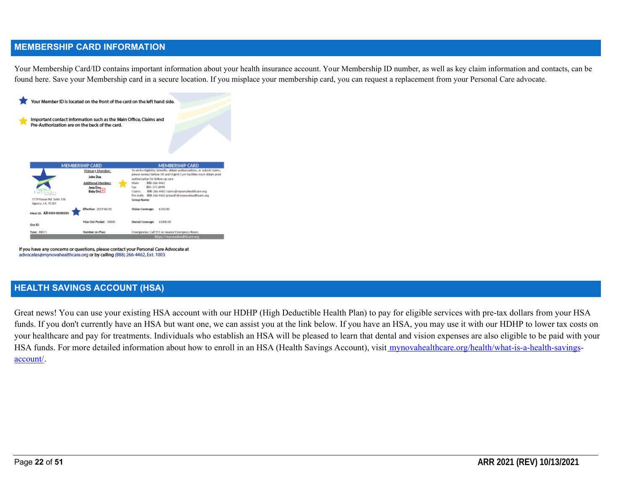#### **MEMBERSHIP CARD INFORMATION**

Your Membership Card/ID contains important information about your health insurance account. Your Membership ID number, as well as key claim information and contacts, can be found here. Save your Membership card in a secure location. If you misplace your membership card, you can request a replacement from your Personal Care advocate.



If you have any concerns or questions, please contact your Personal Care Advocate at advocates@mynovahealthcare.org or by calling (888) 266-4462, Ext. 1003

#### **HEALTH SAVINGS ACCOUNT (HSA)**

Great news! You can use your existing HSA account with our HDHP (High Deductible Health Plan) to pay for eligible services with pre-tax dollars from your HSA funds. If you don't currently have an HSA but want one, we can assist you at the link below. If you have an HSA, you may use it with our HDHP to lower tax costs on your healthcare and pay for treatments. Individuals who establish an HSA will be pleased to learn that dental and vision expenses are also eligible to be paid with your HSA funds. For more detailed information about how to enroll in an HSA (Health Savings Account), visit mynovahealthcare.org/health/what-is-a-health-savingsaccount/.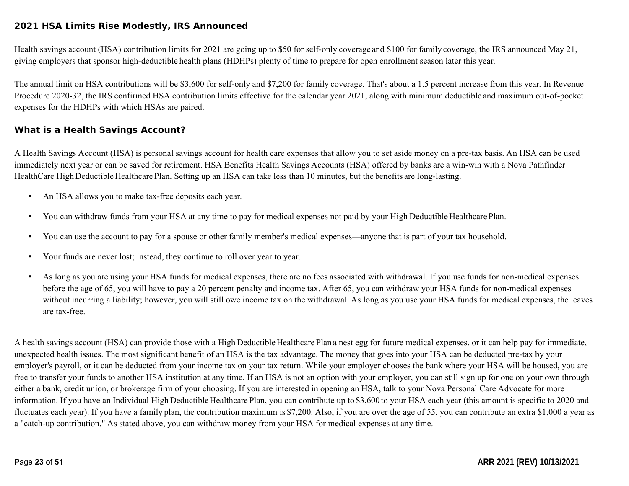#### **2021 HSA Limits Rise Modestly, IRS Announced**

Health savings account (HSA) contribution limits for 2021 are going up to \$50 for self-only coverage and \$100 for family coverage, the IRS announced May 21, giving employers that sponsor high-deductible health plans (HDHPs) plenty of time to prepare for open enrollment season later this year.

The annual limit on HSA contributions will be \$3,600 for self-only and \$7,200 for family coverage. That's about a 1.5 percent increase from this year. In Revenue Procedure 2020-32, the IRS confirmed HSA contribution limits effective for the calendar year 2021, along with minimum deductible and maximum out-of-pocket expenses for the HDHPs with which HSAs are paired.

#### **What is a Health Savings Account?**

A Health Savings Account (HSA) is personal savings account for health care expenses that allow you to set aside money on a pre-tax basis. An HSA can be used immediately next year or can be saved for retirement. HSA Benefits Health Savings Accounts (HSA) offered by banks are a win-win with a Nova Pathfinder HealthCare High Deductible Healthcare Plan. Setting up an HSA can take less than 10 minutes, but the benefits are long-lasting.

- An HSA allows you to make tax-free deposits each year.
- You can withdraw funds from your HSA at any time to pay for medical expenses not paid by your High Deductible Healthcare Plan.
- You can use the account to pay for a spouse or other family member's medical expenses—anyone that is part of your tax household.
- Your funds are never lost; instead, they continue to roll over year to year.
- As long as you are using your HSA funds for medical expenses, there are no fees associated with withdrawal. If you use funds for non-medical expenses before the age of 65, you will have to pay a 20 percent penalty and income tax. After 65, you can withdraw your HSA funds for non-medical expenses without incurring a liability; however, you will still owe income tax on the withdrawal. As long as you use your HSA funds for medical expenses, the leaves are tax-free.

A health savings account (HSA) can provide those with a High Deductible Healthcare Plan a nest egg for future medical expenses, or it can help pay for immediate, unexpected health issues. The most significant benefit of an HSA is the tax advantage. The money that goes into your HSA can be deducted pre-tax by your employer's payroll, or it can be deducted from your income tax on your tax return. While your employer chooses the bank where your HSA will be housed, you are free to transfer your funds to another HSA institution at any time. If an HSA is not an option with your employer, you can still sign up for one on your own through either a bank, credit union, or brokerage firm of your choosing. If you are interested in opening an HSA, talk to your Nova Personal Care Advocate for more information. If you have an Individual High Deductible Healthcare Plan, you can contribute up to \$3,600 to your HSA each year (this amount is specific to 2020 and fluctuates each year). If you have a family plan, the contribution maximum is \$7,200. Also, if you are over the age of 55, you can contribute an extra \$1,000 a year as a "catch-up contribution." As stated above, you can withdraw money from your HSA for medical expenses at any time.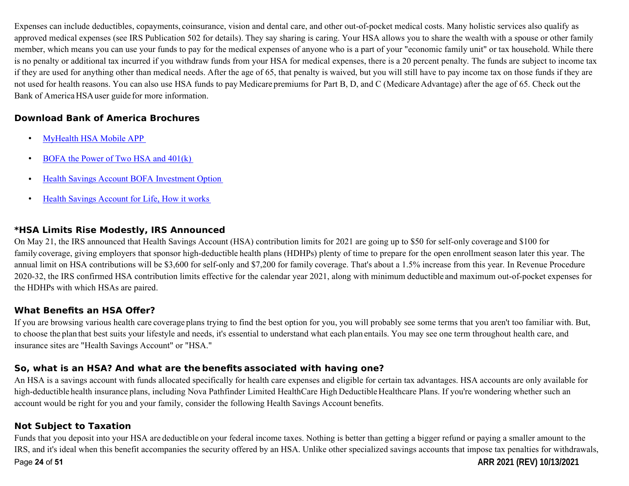Expenses can include deductibles, copayments, coinsurance, vision and dental care, and other out-of-pocket medical costs. Many holistic services also qualify as approved medical expenses (see IRS Publication 502 for details). They say sharing is caring. Your HSA allows you to share the wealth with a spouse or other family member, which means you can use your funds to pay for the medical expenses of anyone who is a part of your "economic family unit" or tax household. While there is no penalty or additional tax incurred if you withdraw funds from your HSA for medical expenses, there is a 20 percent penalty. The funds are subject to income tax if they are used for anything other than medical needs. After the age of 65, that penalty is waived, but you will still have to pay income tax on those funds if they are not used for health reasons. You can also use HSA funds to pay Medicare premiums for Part B, D, and C (Medicare Advantage) after the age of 65. Check out the Bank of America HSA user guide for more information.

# **Download Bank of America Brochures**

- MyHealth HSA Mobile APP
- BOFA the Power of Two HSA and 401(k)
- Health Savings Account BOFA Investment Option
- Health Savings Account for Life, How it works

## **\*HSA Limits Rise Modestly, IRS Announced**

On May 21, the IRS announced that Health Savings Account (HSA) contribution limits for 2021 are going up to \$50 for self-only coverage and \$100 for family coverage, giving employers that sponsor high-deductible health plans (HDHPs) plenty of time to prepare for the open enrollment season later this year. The annual limit on HSA contributions will be \$3,600 for self-only and \$7,200 for family coverage. That's about a 1.5% increase from this year. In Revenue Procedure 2020-32, the IRS confirmed HSA contribution limits effective for the calendar year 2021, along with minimum deductible and maximum out-of-pocket expenses for the HDHPs with which HSAs are paired.

# **What Benefits an HSA Offer?**

If you are browsing various health care coverage plans trying to find the best option for you, you will probably see some terms that you aren't too familiar with. But, to choose the plan that best suits your lifestyle and needs, it's essential to understand what each plan entails. You may see one term throughout health care, and insurance sites are "Health Savings Account" or "HSA."

## **So, what is an HSA? And what are the benefits associated with having one?**

An HSA is a savings account with funds allocated specifically for health care expenses and eligible for certain tax advantages. HSA accounts are only available for high-deductible health insurance plans, including Nova Pathfinder Limited HealthCare High Deductible Healthcare Plans. If you're wondering whether such an account would be right for you and your family, consider the following Health Savings Account benefits.

## **Not Subject to Taxation**

Funds that you deposit into your HSA are deductible on your federal income taxes. Nothing is better than getting a bigger refund or paying a smaller amount to the IRS, and it's ideal when this benefit accompanies the security offered by an HSA. Unlike other specialized savings accounts that impose tax penalties for withdrawals,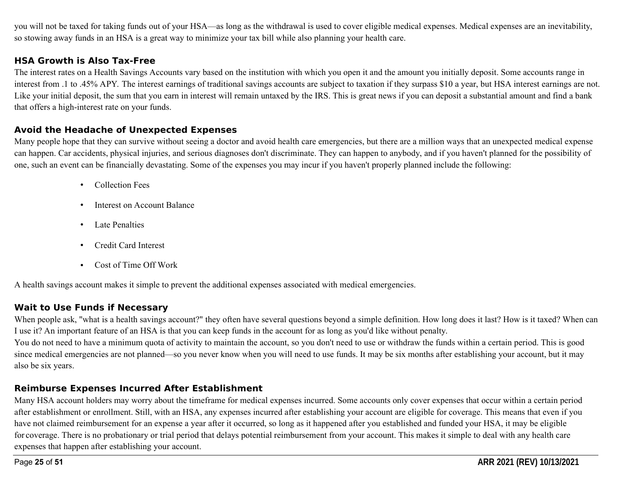you will not be taxed for taking funds out of your HSA—as long as the withdrawal is used to cover eligible medical expenses. Medical expenses are an inevitability, so stowing away funds in an HSA is a great way to minimize your tax bill while also planning your health care.

## **HSA Growth is Also Tax-Free**

The interest rates on a Health Savings Accounts vary based on the institution with which you open it and the amount you initially deposit. Some accounts range in interest from .1 to .45% APY. The interest earnings of traditional savings accounts are subject to taxation if they surpass \$10 a year, but HSA interest earnings are not. Like your initial deposit, the sum that you earn in interest will remain untaxed by the IRS. This is great news if you can deposit a substantial amount and find a bank that offers a high-interest rate on your funds.

#### **Avoid the Headache of Unexpected Expenses**

Many people hope that they can survive without seeing a doctor and avoid health care emergencies, but there are a million ways that an unexpected medical expense can happen. Car accidents, physical injuries, and serious diagnoses don't discriminate. They can happen to anybody, and if you haven't planned for the possibility of one, such an event can be financially devastating. Some of the expenses you may incur if you haven't properly planned include the following:

- Collection Fees
- Interest on Account Balance
- Late Penalties
- Credit Card Interest
- Cost of Time Off Work

A health savings account makes it simple to prevent the additional expenses associated with medical emergencies.

## **Wait to Use Funds if Necessary**

When people ask, "what is a health savings account?" they often have several questions beyond a simple definition. How long does it last? How is it taxed? When can I use it? An important feature of an HSA is that you can keep funds in the account for as long as you'd like without penalty.

You do not need to have a minimum quota of activity to maintain the account, so you don't need to use or withdraw the funds within a certain period. This is good since medical emergencies are not planned—so you never know when you will need to use funds. It may be six months after establishing your account, but it may also be six years.

# **Reimburse Expenses Incurred After Establishment**

Many HSA account holders may worry about the timeframe for medical expenses incurred. Some accounts only cover expenses that occur within a certain period after establishment or enrollment. Still, with an HSA, any expenses incurred after establishing your account are eligible for coverage. This means that even if you have not claimed reimbursement for an expense a year after it occurred, so long as it happened after you established and funded your HSA, it may be eligible for coverage. There is no probationary or trial period that delays potential reimbursement from your account. This makes it simple to deal with any health care expenses that happen after establishing your account.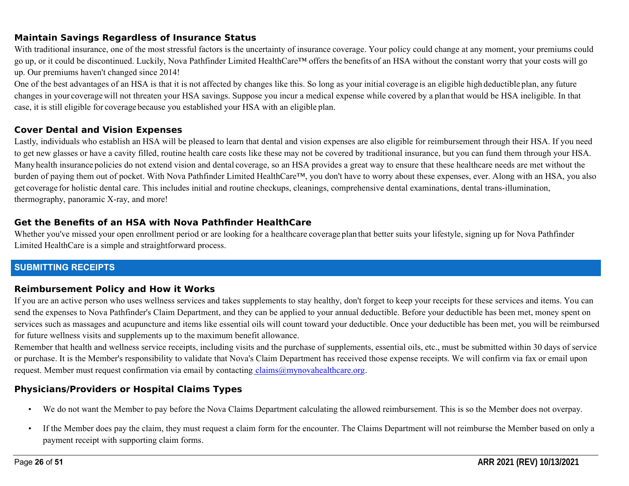## **Maintain Savings Regardless of Insurance Status**

With traditional insurance, one of the most stressful factors is the uncertainty of insurance coverage. Your policy could change at any moment, your premiums could go up, or it could be discontinued. Luckily, Nova Pathfinder Limited HealthCare™ offers the benefits of an HSA without the constant worry that your costs will go up. Our premiums haven't changed since 2014!

One of the best advantages of an HSA is that it is not affected by changes like this. So long as your initial coverage is an eligible high deductible plan, any future changes in your coveragewill not threaten your HSA savings. Suppose you incur a medical expense while covered by a plan that would be HSA ineligible. In that case, it is still eligible for coverage because you established your HSA with an eligible plan.

## **Cover Dental and Vision Expenses**

Lastly, individuals who establish an HSA will be pleased to learn that dental and vision expenses are also eligible for reimbursement through their HSA. If you need to get new glasses or have a cavity filled, routine health care costs like these may not be covered by traditional insurance, but you can fund them through your HSA. Many health insurance policies do not extend vision and dental coverage, so an HSA provides a great way to ensure that these healthcare needs are met without the burden of paying them out of pocket. With Nova Pathfinder Limited HealthCare™, you don't have to worry about these expenses, ever. Along with an HSA, you also get coverage for holistic dental care. This includes initial and routine checkups, cleanings, comprehensive dental examinations, dental trans-illumination, thermography, panoramic X-ray, and more!

## **Get the Benefits of an HSA with Nova Pathfinder HealthCare**

Whether you've missed your open enrollment period or are looking for a healthcare coverage plan that better suits your lifestyle, signing up for Nova Pathfinder Limited HealthCare is a simple and straightforward process.

## **SUBMITTING RECEIPTS**

#### **Reimbursement Policy and How it Works**

If you are an active person who uses wellness services and takes supplements to stay healthy, don't forget to keep your receipts for these services and items. You can send the expenses to Nova Pathfinder's Claim Department, and they can be applied to your annual deductible. Before your deductible has been met, money spent on services such as massages and acupuncture and items like essential oils will count toward your deductible. Once your deductible has been met, you will be reimbursed for future wellness visits and supplements up to the maximum benefit allowance.

Remember that health and wellness service receipts, including visits and the purchase of supplements, essential oils, etc., must be submitted within 30 days of service or purchase. It is the Member's responsibility to validate that Nova's Claim Department has received those expense receipts. We will confirm via fax or email upon request. Member must request confirmation via email by contacting  $\text{claims@mvnovahealthera.org}$ .

## **Physicians/Providers or Hospital Claims Types**

- We do not want the Member to pay before the Nova Claims Department calculating the allowed reimbursement. This is so the Member does not overpay.
- If the Member does pay the claim, they must request a claim form for the encounter. The Claims Department will not reimburse the Member based on only a payment receipt with supporting claim forms.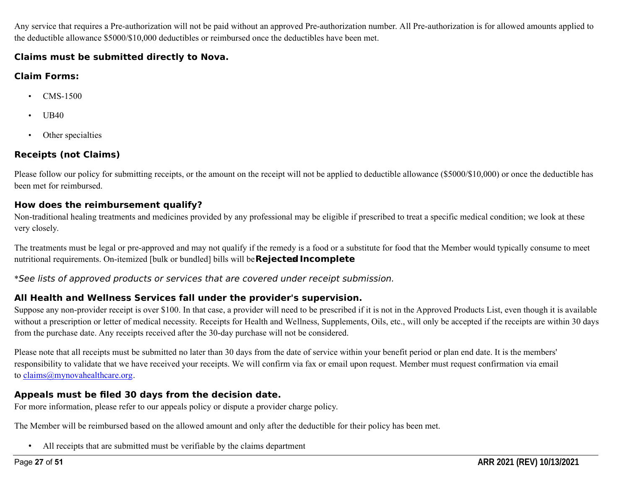Any service that requires a Pre-authorization will not be paid without an approved Pre-authorization number. All Pre-authorization is for allowed amounts applied to the deductible allowance \$5000/\$10,000 deductibles or reimbursed once the deductibles have been met.

#### **Claims must be submitted directly to Nova.**

## **Claim Forms:**

- CMS-1500
- UB40
- Other specialties

# **Receipts (not Claims)**

Please follow our policy for submitting receipts, or the amount on the receipt will not be applied to deductible allowance (\$5000/\$10,000) or once the deductible has been met for reimbursed.

# **How does the reimbursement qualify?**

Non-traditional healing treatments and medicines provided by any professional may be eligible if prescribed to treat a specific medical condition; we look at these very closely.

The treatments must be legal or pre-approved and may not qualify if the remedy is a food or a substitute for food that the Member would typically consume to meet nutritional requirements. On-itemized [bulk or bundled] bills will be **Rejected Incomplete** 

\*See lists of approved products or services that are covered under receipt submission.

# **All Health and Wellness Services fall under the provider's supervision.**

Suppose any non-provider receipt is over \$100. In that case, a provider will need to be prescribed if it is not in the Approved Products List, even though it is available without a prescription or letter of medical necessity. Receipts for Health and Wellness, Supplements, Oils, etc., will only be accepted if the receipts are within 30 days from the purchase date. Any receipts received after the 30-day purchase will not be considered.

Please note that all receipts must be submitted no later than 30 days from the date of service within your benefit period or plan end date. It is the members' responsibility to validate that we have received your receipts. We will confirm via fax or email upon request. Member must request confirmation via email to claims@mynovahealthcare.org.

# **Appeals must be filed 30 days from the decision date.**

For more information, please refer to our appeals policy or dispute a provider charge policy.

The Member will be reimbursed based on the allowed amount and only after the deductible for their policy has been met.

• All receipts that are submitted must be verifiable by the claims department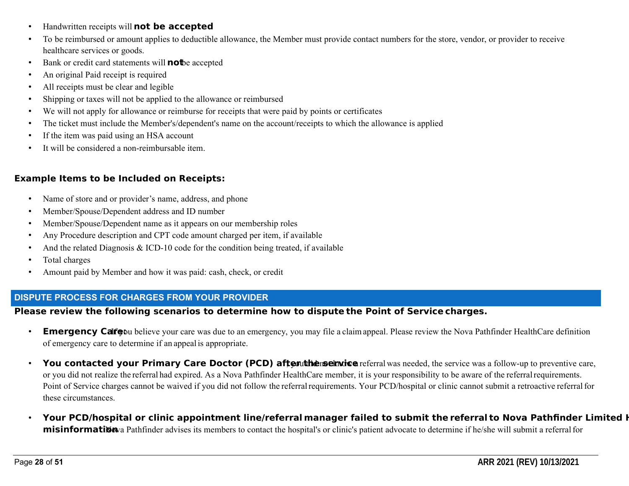- Handwritten receipts will **not be accepted**
- To be reimbursed or amount applies to deductible allowance, the Member must provide contact numbers for the store, vendor, or provider to receive healthcare services or goods.
- Bank or credit card statements will **not**be accepted
- An original Paid receipt is required
- All receipts must be clear and legible
- Shipping or taxes will not be applied to the allowance or reimbursed
- We will not apply for allowance or reimburse for receipts that were paid by points or certificates
- The ticket must include the Member's/dependent's name on the account/receipts to which the allowance is applied
- If the item was paid using an HSA account
- It will be considered a non-reimbursable item.

# **Example Items to be Included on Receipts:**

- Name of store and or provider's name, address, and phone
- Member/Spouse/Dependent address and ID number
- Member/Spouse/Dependent name as it appears on our membership roles
- Any Procedure description and CPT code amount charged per item, if available
- And the related Diagnosis  $&{}$  ICD-10 code for the condition being treated, if available
- Total charges
- Amount paid by Member and how it was paid: cash, check, or credit

## **DISPUTE PROCESS FOR CHARGES FROM YOUR PROVIDER**

## **Please review the following scenarios to determine how to dispute the Point of Service charges.**

- **Emergency Calfe** believe your care was due to an emergency, you may file a claimappeal. Please review the Nova Pathfinder HealthCare definition of emergency care to determine if an appealis appropriate.
- You contacted your Primary Care Doctor (PCD) after utine not are ferral was needed, the service was a follow-up to preventive care, or you did not realize the referral had expired. As a Nova Pathfinder HealthCare member, it is your responsibility to be aware of the referralrequirements. Point of Service charges cannot be waived if you did not follow the referral requirements. Your PCD/hospital or clinic cannot submit a retroactive referral for these circumstances.
- Your PCD/hospital or clinic appointment line/referral manager failed to submit the referral to Nova Pathfinder Limited **H misinformation** a Pathfinder advises its members to contact the hospital's or clinic's patient advocate to determine if he/she will submit a referral for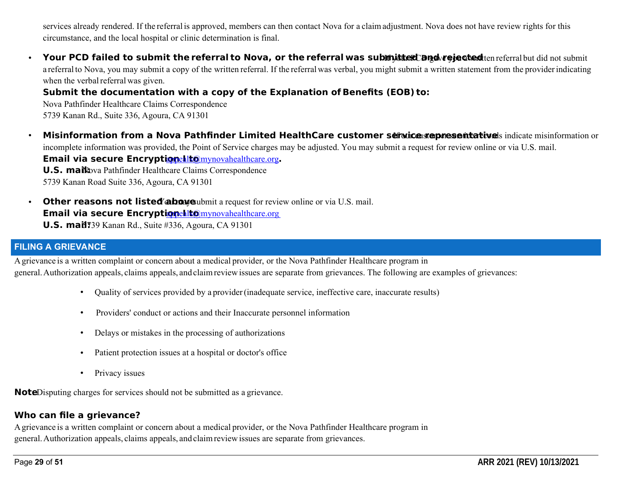services already rendered. If the referral is approved, members can then contact Nova for a claimadjustment. Nova does not have review rights for this circumstance, and the local hospital or clinic determination is final.

• Your PCD failed to submit the referral to Nova, or the referral was subimitted **and rejected** ten referral but did not submit a referral to Nova, you may submit a copy of the written referral. If the referral was verbal, you might submit a written statement from the provider indicating when the verbal referral was given.

# **Submit the documentation with a copy of the Explanation of Benefits (EOB) to:**

Nova Pathfinder Healthcare Claims Correspondence 5739 Kanan Rd., Suite 336, Agoura, CA 91301

- Misinformation from a Nova Pathfinder Limited HealthCare customer service representativels indicate misinformation or incomplete information was provided, the Point of Service charges may be adjusted. You may submit a request for review online or via U.S. mail. **Email via secure Encryptionealt@mynovahealthcare.org. U.S. mail:** Nova Pathfinder Healthcare Claims Correspondence 5739 Kanan Road Suite 336, Agoura, CA 91301
- **Other reasons not listed abowe** white a request for review online or via U.S. mail. **Email via secure Encryptionehlt@mynovahealthcare.org U.S. mail** 739 Kanan Rd., Suite #336, Agoura, CA 91301

## **FILING A GRIEVANCE**

Agrievance is a written complaint or concern about a medical provider, or the Nova Pathfinder Healthcare program in general.Authorization appeals, claims appeals, and claimreviewissues are separate from grievances. The following are examples of grievances:

- Quality of services provided by a provider(inadequate service, ineffective care, inaccurate results)
- Providers' conduct or actions and their Inaccurate personnel information
- Delays or mistakes in the processing of authorizations
- Patient protection issues at a hospital or doctor's office
- Privacy issues

**Note**Disputing charges for services should not be submitted as a grievance.

# **Who can file a grievance?**

Agrievance is a written complaint or concern about a medical provider, or the Nova Pathfinder Healthcare program in general.Authorization appeals, claims appeals, and claimreviewissues are separate from grievances.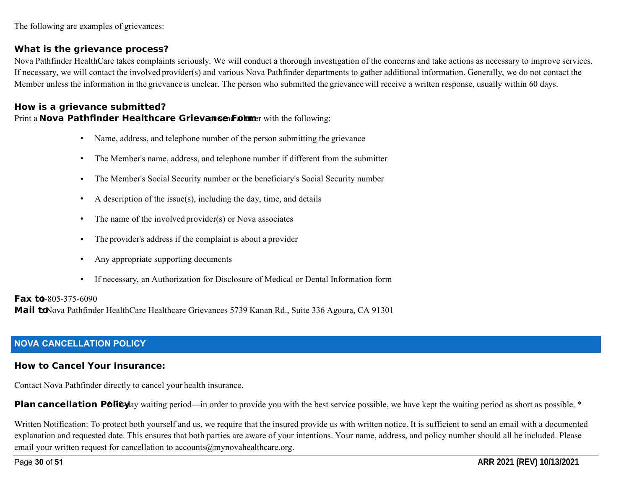The following are examples of grievances:

#### **What is the grievance process?**

Nova Pathfinder HealthCare takes complaints seriously. We will conduct a thorough investigation of the concerns and take actions as necessary to improve services. If necessary, we will contact the involved provider(s) and various Nova Pathfinder departments to gather additional information. Generally, we do not contact the Member unless the information in the grievance is unclear. The person who submitted the grievance will receive a written response, usually within 60 days.

## **How is a grievance submitted?** Print a **Nova Pathfinder Healthcare Grievance Forme**r with the following:

- Name, address, and telephone number of the person submitting the grievance
- The Member's name, address, and telephone number if different from the submitter
- The Member's Social Security number or the beneficiary's Social Security number
- A description of the issue(s), including the day, time, and details
- The name of the involved provider(s) or Nova associates
- The provider's address if the complaint is about a provider
- Any appropriate supporting documents
- If necessary, an Authorization for Disclosure of Medical or Dental Information form

#### **Fax to**-805-375-6090

Mail toNova Pathfinder HealthCare Healthcare Grievances 5739 Kanan Rd., Suite 336 Agoura, CA 91301

## **NOVA CANCELLATION POLICY**

#### **How to Cancel Your Insurance:**

Contact Nova Pathfinder directly to cancel your health insurance.

**Plan cancellation Policy** waiting period—in order to provide you with the best service possible, we have kept the waiting period as short as possible. \*

Written Notification: To protect both yourself and us, we require that the insured provide us with written notice. It is sufficient to send an email with a documented explanation and requested date. This ensures that both parties are aware of your intentions. Your name, address, and policy number should all be included. Please email your written request for cancellation to accounts@mynovahealthcare.org.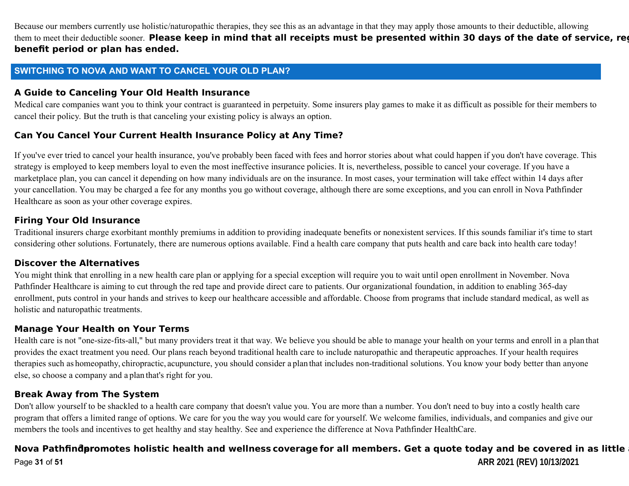Because our members currently use holistic/naturopathic therapies, they see this as an advantage in that they may apply those amounts to their deductible, allowing them to meet their deductible sooner. Please keep in mind that all receipts must be presented within 30 days of the date of service, reg **benefit period or plan has ended.** 

#### **SWITCHING TO NOVA AND WANT TO CANCEL YOUR OLD PLAN?**

#### **A Guide to Canceling Your Old Health Insurance**

Medical care companies want you to think your contract is guaranteed in perpetuity. Some insurers play games to make it as difficult as possible for their members to cancel their policy. But the truth is that canceling your existing policy is always an option.

#### **Can You Cancel Your Current Health Insurance Policy at Any Time?**

If you've ever tried to cancel your health insurance, you've probably been faced with fees and horror stories about what could happen if you don't have coverage. This strategy is employed to keep members loyal to even the most ineffective insurance policies. It is, nevertheless, possible to cancel your coverage. If you have a marketplace plan, you can cancel it depending on how many individuals are on the insurance. In most cases, your termination will take effect within 14 days after your cancellation. You may be charged a fee for any months you go without coverage, although there are some exceptions, and you can enroll in Nova Pathfinder Healthcare as soon as your other coverage expires.

#### **Firing Your Old Insurance**

Traditional insurers charge exorbitant monthly premiums in addition to providing inadequate benefits or nonexistent services. If this sounds familiar it's time to start considering other solutions. Fortunately, there are numerous options available. Find a health care company that puts health and care back into health care today!

#### **Discover the Alternatives**

You might think that enrolling in a new health care plan or applying for a special exception will require you to wait until open enrollment in November. Nova Pathfinder Healthcare is aiming to cut through the red tape and provide direct care to patients. Our organizational foundation, in addition to enabling 365-day enrollment, puts control in your hands and strives to keep our healthcare accessible and affordable. Choose from programs that include standard medical, as well as holistic and naturopathic treatments.

#### **Manage Your Health on Your Terms**

Health care is not "one-size-fits-all," but many providers treat it that way. We believe you should be able to manage your health on your terms and enroll in a plan that provides the exact treatment you need. Our plans reach beyond traditional health care to include naturopathic and therapeutic approaches. If your health requires therapies such as homeopathy, chiropractic, acupuncture, you should consider a plan that includes non-traditional solutions. You know your body better than anyone else, so choose a company and a plan that's right for you.

#### **Break Away from The System**

Don't allow yourself to be shackled to a health care company that doesn't value you. You are more than a number. You don't need to buy into a costly health care program that offers a limited range of options. We care for you the way you would care for yourself. We welcome families, individuals, and companies and give our members the tools and incentives to get healthy and stay healthy. See and experience the difference at Nova Pathfinder HealthCare.

#### Page **31** of **51 ARR 2021 (REV) 10/13/2021**  Nova Pathfind promotes holistic health and wellness coverage for all members. Get a quote today and be covered in as little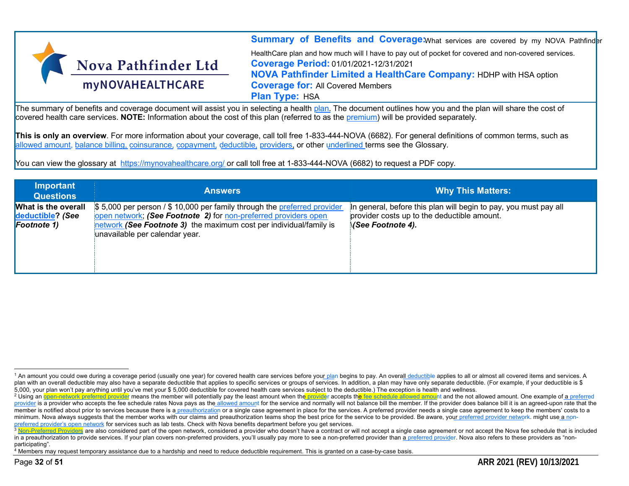

**Summary of Benefits and Coverage:**What services are covered by my NOVA Pathfinder HealthCare plan and how much will I have to pay out of pocket for covered and non-covered services. **Coverage Period:** 01/01/2021-12/31/2021 **NOVA Pathfinder Limited a HealthCare Company:** HDHP with HSA option **Coverage for:** All Covered Members **Plan Type:** HSA

The summary of benefits and coverage document will assist you in selecting a health plan. The document outlines how you and the plan will share the cost of covered health care services. **NOTE:** Information about the cost of this plan (referred to as the premium) will be provided separately.

**This is only an overview**. For more information about your coverage, call toll free 1-833-444-NOVA (6682). For general definitions of common terms, such as allowed amount, balance billing, coinsurance, copayment, deductible, providers, or other underlined terms see the Glossary.

You can view the glossary at https://mynovahealthcare.org/ or call toll free at 1-833-444-NOVA (6682) to request a PDF copy.

| <b>Important</b><br><b>Questions</b>                      | <b>Answers</b>                                                                                                                                                                                                                                      | <b>Why This Matters:</b>                                                                                                                    |
|-----------------------------------------------------------|-----------------------------------------------------------------------------------------------------------------------------------------------------------------------------------------------------------------------------------------------------|---------------------------------------------------------------------------------------------------------------------------------------------|
| What is the overall<br>deductible? (See<br>Footnote $1$ ) | \$5,000 per person / \$10,000 per family through the preferred provider<br>open network; (See Footnote 2) for non-preferred providers open<br>inetwork (See Footnote 3) the maximum cost per individual/family is<br>unavailable per calendar year. | In general, before this plan will begin to pay, you must pay all<br>provider costs up to the deductible amount.<br><b>NSee Footnote 4).</b> |

<sup>4</sup> Members may request temporary assistance due to a hardship and need to reduce deductible requirement. This is granted on a case-by-case basis.

<sup>&</sup>lt;sup>1</sup> An amount you could owe during a coverage period (usually one year) for covered health care services before your plan begins to pay. An overall deductible applies to all or almost all covered items and services. A plan with an overall deductible may also have a separate deductible that applies to specific services or groups of services. In addition, a plan may have only separate deductible. (For example, if your deductible is \$ 5,000, your plan won't pay anything until you've met your \$ 5,000 deductible for covered health care services subject to the deductible.) The exception is health and wellness.

<sup>&</sup>lt;sup>2</sup> Using an open-network preferred provider means the member will potentially pay the least amount when the provider accepts the fee schedule allowed amount and the not allowed amount. One example of a preferred provider is a provider who accepts the fee schedule rates Nova pays as the allowed amount for the service and normally will not balance bill the member. If the provider does balance bill it is an agreed-upon rate that the member is notified about prior to services because there is a preauthorization or a single case agreement in place for the services. A preferred provider needs a single case agreement to keep the members' costs to a minimum. Nova always suggests that the member works with our claims and preauthorization teams shop the best price for the service to be provided. Be aware, your preferred provider network, might use a nonpreferred provider's open network for services such as lab tests. Check with Nova benefits department before you get services.

 $3$  Non-Preferred Providers are also considered part of the open network, considered a provider who doesn't have a contract or will not accept a single case agreement or not accept the Nova fee schedule that is included in a preauthorization to provide services. If your plan covers non-preferred providers, you'll usually pay more to see a non-preferred provider than a preferred provider. Nova also refers to these providers as "nonparticipating".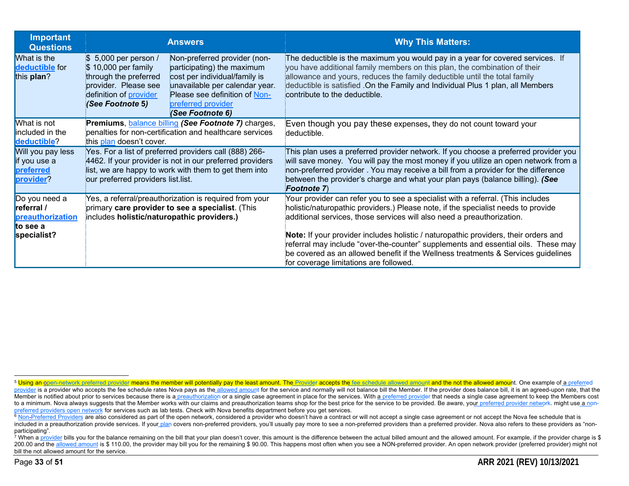| <b>Important</b><br><b>Questions</b>                        | <b>Answers</b>                                                                                                                                                                                                                                                                                                                                          | <b>Why This Matters:</b>                                                                                                                                                                                                                                                                                                                                              |
|-------------------------------------------------------------|---------------------------------------------------------------------------------------------------------------------------------------------------------------------------------------------------------------------------------------------------------------------------------------------------------------------------------------------------------|-----------------------------------------------------------------------------------------------------------------------------------------------------------------------------------------------------------------------------------------------------------------------------------------------------------------------------------------------------------------------|
| What is the<br>deductible for<br>this plan?                 | \$ 5,000 per person /<br>Non-preferred provider (non-<br>\$10,000 per family<br>participating) the maximum<br>through the preferred<br>cost per individual/family is<br>provider. Please see<br>unavailable per calendar year.<br>definition of provider<br>Please see definition of Non-<br>(See Footnote 5)<br>preferred provider<br>(See Footnote 6) | The deductible is the maximum you would pay in a year for covered services. If<br>you have additional family members on this plan, the combination of their<br>allowance and yours, reduces the family deductible until the total family<br>deductible is satisfied .On the Family and Individual Plus 1 plan, all Members<br>contribute to the deductible.           |
| What is not<br>included in the<br>deductible?               | Premiums, <b>balance billing (See Footnote 7)</b> charges,<br>penalties for non-certification and healthcare services<br>this plan doesn't cover.                                                                                                                                                                                                       | Even though you pay these expenses, they do not count toward your<br>deductible.                                                                                                                                                                                                                                                                                      |
| Will you pay less<br>if you use a<br>preferred<br>provider? | Yes. For a list of preferred providers call (888) 266-<br>4462. If your provider is not in our preferred providers<br>list, we are happy to work with them to get them into<br>our preferred providers list.list.                                                                                                                                       | This plan uses a preferred provider network. If you choose a preferred provider you<br>will save money. You will pay the most money if you utilize an open network from a<br>non-preferred provider. You may receive a bill from a provider for the difference<br>between the provider's charge and what your plan pays (balance billing). (See<br><b>Footnote 7)</b> |
| Do you need a<br>referral /<br>preauthorization<br>to see a | Yes, a referral/preauthorization is required from your<br>primary care provider to see a specialist. (This<br>includes holistic/naturopathic providers.)                                                                                                                                                                                                | Your provider can refer you to see a specialist with a referral. (This includes<br>holistic/naturopathic providers.) Please note, if the specialist needs to provide<br>additional services, those services will also need a preauthorization.                                                                                                                        |
| specialist?                                                 |                                                                                                                                                                                                                                                                                                                                                         | Note: If your provider includes holistic / naturopathic providers, their orders and<br>referral may include "over-the-counter" supplements and essential oils. These may<br>be covered as an allowed benefit if the Wellness treatments & Services guidelines<br>for coverage limitations are followed.                                                               |

<sup>7</sup> When a provider bills you for the balance remaining on the bill that your plan doesn't cover, this amount is the difference between the actual billed amount and the allowed amount. For example, if the provider charge i 200.00 and the allowed amount is \$ 110.00, the provider may bill you for the remaining \$ 90.00. This happens most often when you see a NON-preferred provider. An open network provider (preferred provider) might not bill the not allowed amount for the service.

<sup>&</sup>lt;sup>5</sup> Using an open-network preferred provider means the member will potentially pay the least amount. The Provider accepts the fee schedule allowed amount and the not the allowed amount. One example of a preferred provider is a provider who accepts the fee schedule rates Nova pays as the allowed amount for the service and normally will not balance bill the Member. If the provider does balance bill, it is an agreed-upon rate, that th Member is notified about prior to services because there is a preauthorization or a single case agreement in place for the services. With a preferred provider that needs a single case agreement to keep the Members cost to a minimum. Nova always suggests that the Member works with our claims and preauthorization teams shop for the best price for the service to be provided. Be aware, your preferred provider network. might use a nonpreferred providers open network for services such as lab tests. Check with Nova benefits department before you get services.

<sup>6</sup> Non-Preferred Providers are also considered as part of the open network, considered a provider who doesn't have a contract or will not accept a single case agreement or not accept the Nova fee schedule that is included in a preauthorization provide services. If your plan covers non-preferred providers, you'll usually pay more to see a non-preferred providers than a preferred provider. Nova also refers to these providers as "nonparticipating".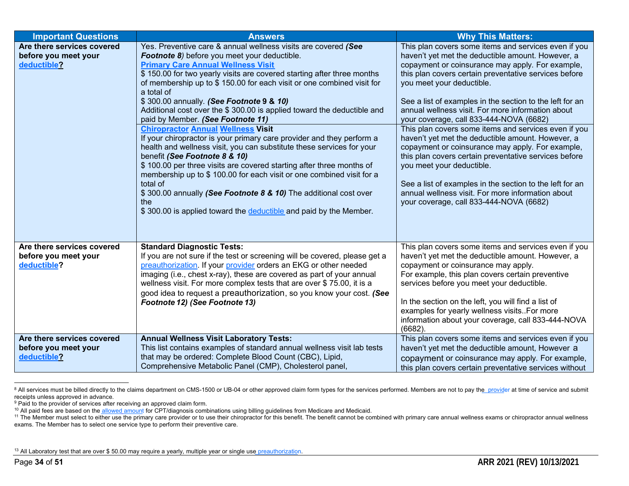| <b>Important Questions</b>                                        | <b>Answers</b>                                                                                                                                                                                                                                                                                                                                                                                                                                                                                                                                                                                                                                                                                                                                                                                                                                                                                                                                                                                                                       | <b>Why This Matters:</b>                                                                                                                                                                                                                                                                                                                                                                                                                                                                                                                                                                                                                                                                                                                                                                                                           |
|-------------------------------------------------------------------|--------------------------------------------------------------------------------------------------------------------------------------------------------------------------------------------------------------------------------------------------------------------------------------------------------------------------------------------------------------------------------------------------------------------------------------------------------------------------------------------------------------------------------------------------------------------------------------------------------------------------------------------------------------------------------------------------------------------------------------------------------------------------------------------------------------------------------------------------------------------------------------------------------------------------------------------------------------------------------------------------------------------------------------|------------------------------------------------------------------------------------------------------------------------------------------------------------------------------------------------------------------------------------------------------------------------------------------------------------------------------------------------------------------------------------------------------------------------------------------------------------------------------------------------------------------------------------------------------------------------------------------------------------------------------------------------------------------------------------------------------------------------------------------------------------------------------------------------------------------------------------|
| Are there services covered<br>before you meet your<br>deductible? | Yes. Preventive care & annual wellness visits are covered (See<br>Footnote 8) before you meet your deductible.<br><b>Primary Care Annual Wellness Visit</b><br>\$150.00 for two yearly visits are covered starting after three months<br>of membership up to \$150.00 for each visit or one combined visit for<br>a total of<br>\$300.00 annually. (See Footnote 9 & 10)<br>Additional cost over the \$300.00 is applied toward the deductible and<br>paid by Member. (See Footnote 11)<br><b>Chiropractor Annual Wellness Visit</b><br>If your chiropractor is your primary care provider and they perform a<br>health and wellness visit, you can substitute these services for your<br>benefit (See Footnote 8 & 10)<br>\$100.00 per three visits are covered starting after three months of<br>membership up to \$ 100.00 for each visit or one combined visit for a<br>total of<br>\$300.00 annually (See Footnote 8 & 10) The additional cost over<br>the<br>\$300.00 is applied toward the deductible and paid by the Member. | This plan covers some items and services even if you<br>haven't yet met the deductible amount. However, a<br>copayment or coinsurance may apply. For example,<br>this plan covers certain preventative services before<br>you meet your deductible.<br>See a list of examples in the section to the left for an<br>annual wellness visit. For more information about<br>your coverage, call 833-444-NOVA (6682)<br>This plan covers some items and services even if you<br>haven't yet met the deductible amount. However, a<br>copayment or coinsurance may apply. For example,<br>this plan covers certain preventative services before<br>you meet your deductible.<br>See a list of examples in the section to the left for an<br>annual wellness visit. For more information about<br>your coverage, call 833-444-NOVA (6682) |
| Are there services covered<br>before you meet your<br>deductible? | <b>Standard Diagnostic Tests:</b><br>If you are not sure if the test or screening will be covered, please get a<br>preauthorization. If your provider orders an EKG or other needed<br>imaging (i.e., chest x-ray), these are covered as part of your annual<br>wellness visit. For more complex tests that are over \$75.00, it is a<br>good idea to request a preauthorization, so you know your cost. (See<br>Footnote 12) (See Footnote 13)                                                                                                                                                                                                                                                                                                                                                                                                                                                                                                                                                                                      | This plan covers some items and services even if you<br>haven't yet met the deductible amount. However, a<br>copayment or coinsurance may apply.<br>For example, this plan covers certain preventive<br>services before you meet your deductible.<br>In the section on the left, you will find a list of<br>examples for yearly wellness visitsFor more<br>information about your coverage, call 833-444-NOVA<br>(6682).                                                                                                                                                                                                                                                                                                                                                                                                           |
| Are there services covered<br>before you meet your<br>deductible? | <b>Annual Wellness Visit Laboratory Tests:</b><br>This list contains examples of standard annual wellness visit lab tests<br>that may be ordered: Complete Blood Count (CBC), Lipid,<br>Comprehensive Metabolic Panel (CMP), Cholesterol panel,                                                                                                                                                                                                                                                                                                                                                                                                                                                                                                                                                                                                                                                                                                                                                                                      | This plan covers some items and services even if you<br>haven't yet met the deductible amount, However a<br>copayment or coinsurance may apply. For example,<br>this plan covers certain preventative services without                                                                                                                                                                                                                                                                                                                                                                                                                                                                                                                                                                                                             |

<sup>&</sup>lt;sup>8</sup> All services must be billed directly to the claims department on CMS-1500 or UB-04 or other approved claim form types for the services performed. Members are not to pay the provider at time of service and submit receipts unless approved in advance.

<sup>&</sup>lt;sup>9</sup> Paid to the provider of services after receiving an approved claim form.

<sup>&</sup>lt;sup>10</sup> All paid fees are based on the allowed amount for CPT/diagnosis combinations using billing guidelines from Medicare and Medicaid.

<sup>&</sup>lt;sup>11</sup> The Member must select to either use the primary care provider or to use their chiropractor for this benefit. The benefit cannot be combined with primary care annual wellness exams or chiropractor annual wellness exams. The Member has to select one service type to perform their preventive care.

<sup>&</sup>lt;sup>13</sup> All Laboratory test that are over \$ 50.00 may require a yearly, multiple year or single use preauthorization.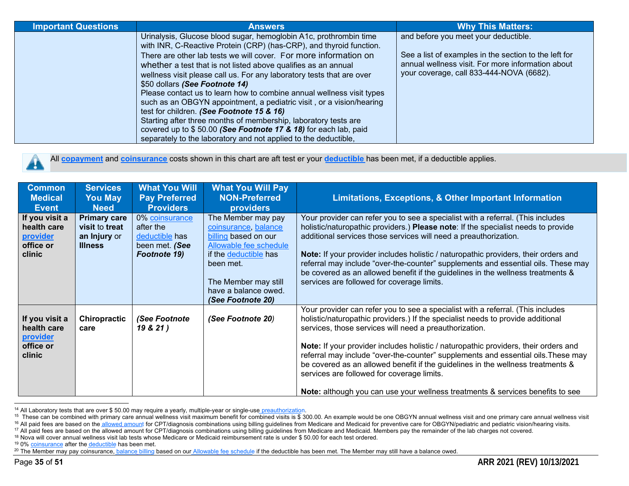| <b>Important Questions</b> | <b>Answers</b>                                                                                                                                                                                                                                                                                                                                                                                                                                                                                                                                                                                                                                                                                                                                                                                   | <b>Why This Matters:</b>                                                                                                                                                                       |
|----------------------------|--------------------------------------------------------------------------------------------------------------------------------------------------------------------------------------------------------------------------------------------------------------------------------------------------------------------------------------------------------------------------------------------------------------------------------------------------------------------------------------------------------------------------------------------------------------------------------------------------------------------------------------------------------------------------------------------------------------------------------------------------------------------------------------------------|------------------------------------------------------------------------------------------------------------------------------------------------------------------------------------------------|
|                            | Urinalysis, Glucose blood sugar, hemoglobin A1c, prothrombin time<br>with INR, C-Reactive Protein (CRP) (has-CRP), and thyroid function.<br>There are other lab tests we will cover. For more information on<br>whether a test that is not listed above qualifies as an annual<br>wellness visit please call us. For any laboratory tests that are over<br>\$50 dollars (See Footnote 14)<br>Please contact us to learn how to combine annual wellness visit types<br>such as an OBGYN appointment, a pediatric visit, or a vision/hearing<br>test for children. (See Footnote 15 & 16)<br>Starting after three months of membership, laboratory tests are<br>covered up to \$50.00 (See Footnote 17 & 18) for each lab, paid<br>separately to the laboratory and not applied to the deductible, | and before you meet your deductible.<br>See a list of examples in the section to the left for<br>annual wellness visit. For more information about<br>your coverage, call 833-444-NOVA (6682). |

All **copayment** and **coinsurance** costs shown in this chart are aft test er your **deductible** has been met, if a deductible applies.

| <b>Common</b><br><b>Medical</b><br>Event                         | <b>Services</b><br><b>You May</b><br><b>Need</b>                        | <b>What You Will</b><br><b>Pay Preferred</b><br><b>Providers</b>                | <b>What You Will Pay</b><br><b>NON-Preferred</b><br><b>providers</b>                                                                                                                                    | Limitations, Exceptions, & Other Important Information                                                                                                                                                                                                                                                                                                                                                                                                                                                                                                                                                                             |
|------------------------------------------------------------------|-------------------------------------------------------------------------|---------------------------------------------------------------------------------|---------------------------------------------------------------------------------------------------------------------------------------------------------------------------------------------------------|------------------------------------------------------------------------------------------------------------------------------------------------------------------------------------------------------------------------------------------------------------------------------------------------------------------------------------------------------------------------------------------------------------------------------------------------------------------------------------------------------------------------------------------------------------------------------------------------------------------------------------|
| If you visit a<br>health care<br>provider<br>office or<br>clinic | <b>Primary care</b><br>visit to treat<br>an Injury or<br><b>Illness</b> | 0% coinsurance<br>after the<br>deductible has<br>been met. (See<br>Footnote 19) | The Member may pay<br>coinsurance, balance<br>billing based on our<br>Allowable fee schedule<br>if the deductible has<br>been met.<br>The Member may still<br>have a balance owed.<br>(See Footnote 20) | Your provider can refer you to see a specialist with a referral. (This includes<br>holistic/naturopathic providers.) Please note: If the specialist needs to provide<br>additional services those services will need a preauthorization.<br>Note: If your provider includes holistic / naturopathic providers, their orders and<br>referral may include "over-the-counter" supplements and essential oils. These may<br>be covered as an allowed benefit if the guidelines in the wellness treatments &<br>services are followed for coverage limits.                                                                              |
| If you visit a<br>health care<br>provider<br>office or<br>clinic | Chiropractic<br>care                                                    | (See Footnote<br>19 & 21 )                                                      | (See Footnote 20)                                                                                                                                                                                       | Your provider can refer you to see a specialist with a referral. (This includes<br>holistic/naturopathic providers.) If the specialist needs to provide additional<br>services, those services will need a preauthorization.<br>Note: If your provider includes holistic / naturopathic providers, their orders and<br>referral may include "over-the-counter" supplements and essential oils. These may<br>be covered as an allowed benefit if the guidelines in the wellness treatments &<br>services are followed for coverage limits.<br><b>Note:</b> although you can use your wellness treatments & services benefits to see |

<sup>&</sup>lt;sup>14</sup> All Laboratory tests that are over \$ 50.00 may require a yearly, multiple-year or single-use preauthorization.

<sup>&</sup>lt;sup>15</sup> These can be combined with primary care annual wellness visit maximum benefit for combined visits is \$ 300.00. An example would be one OBGYN annual wellness visit and one primary care annual wellness visit

<sup>&</sup>lt;sup>16</sup> All paid fees are based on the allowed amount for CPT/diagnosis combinations using billing guidelines from Medicare and Medicaid for preventive care for OBGYN/pediatric and pediatric vision/hearing visits.

<sup>&</sup>lt;sup>17</sup> All paid fees are based on the allowed amount for CPT/diagnosis combinations using billing guidelines from Medicare and Medicaid. Members pay the remainder of the lab charges not covered.

<sup>&</sup>lt;sup>18</sup> Nova will cover annual wellness visit lab tests whose Medicare or Medicaid reimbursement rate is under \$50.00 for each test ordered.

<sup>&</sup>lt;sup>19</sup> 0% coinsurance after the deductible has been met.

<sup>&</sup>lt;sup>20</sup> The Member may pay coinsurance, balance billing based on our Allowable fee schedule if the deductible has been met. The Member may still have a balance owed.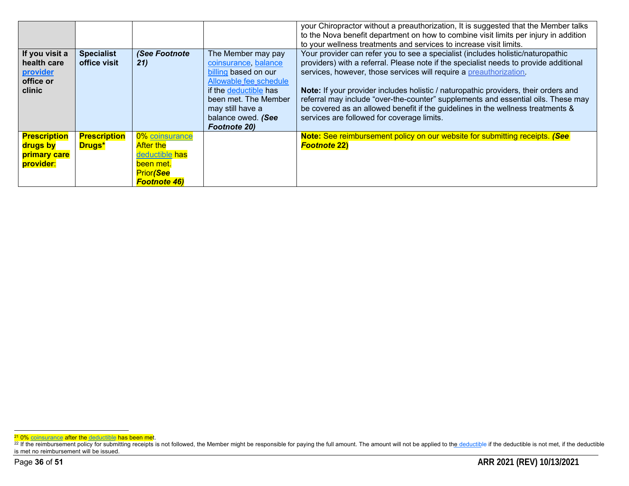|                                                                  |                                      |                                                                                                               |                                                                                                                                                                                                                | your Chiropractor without a preauthorization, It is suggested that the Member talks<br>to the Nova benefit department on how to combine visit limits per injury in addition<br>to your wellness treatments and services to increase visit limits.                                                                                                                                                                                                                                                                                                           |
|------------------------------------------------------------------|--------------------------------------|---------------------------------------------------------------------------------------------------------------|----------------------------------------------------------------------------------------------------------------------------------------------------------------------------------------------------------------|-------------------------------------------------------------------------------------------------------------------------------------------------------------------------------------------------------------------------------------------------------------------------------------------------------------------------------------------------------------------------------------------------------------------------------------------------------------------------------------------------------------------------------------------------------------|
| If you visit a<br>health care<br>provider<br>office or<br>clinic | <b>Specialist</b><br>office visit    | (See Footnote<br>21)                                                                                          | The Member may pay<br>coinsurance, balance<br>billing based on our<br>Allowable fee schedule<br>if the deductible has<br>been met. The Member<br>may still have a<br>balance owed. (See<br><b>Footnote 20)</b> | Your provider can refer you to see a specialist (includes holistic/naturopathic<br>providers) with a referral. Please note if the specialist needs to provide additional<br>services, however, those services will require a preauthorization.<br>Note: If your provider includes holistic / naturopathic providers, their orders and<br>referral may include "over-the-counter" supplements and essential oils. These may<br>be covered as an allowed benefit if the guidelines in the wellness treatments &<br>services are followed for coverage limits. |
| <b>Prescription</b><br>drugs by<br>primary care<br>provider:     | <b>Prescription</b><br><b>Drugs*</b> | 0% coinsurance<br><b>After the</b><br>deductible has<br>been met.<br><b>Prior</b> (See<br><b>Footnote 46)</b> |                                                                                                                                                                                                                | Note: See reimbursement policy on our website for submitting receipts. (See<br><b>Footnote 22)</b>                                                                                                                                                                                                                                                                                                                                                                                                                                                          |

<sup>&</sup>lt;sup>21</sup> 0% coinsurance after the deductible has been met.

<sup>&</sup>lt;sup>22</sup> If the reimbursement policy for submitting receipts is not followed, the Member might be responsible for paying the full amount. The amount will not be applied to the deductible if the deductible is not met, if the de is met no reimbursement will be issued.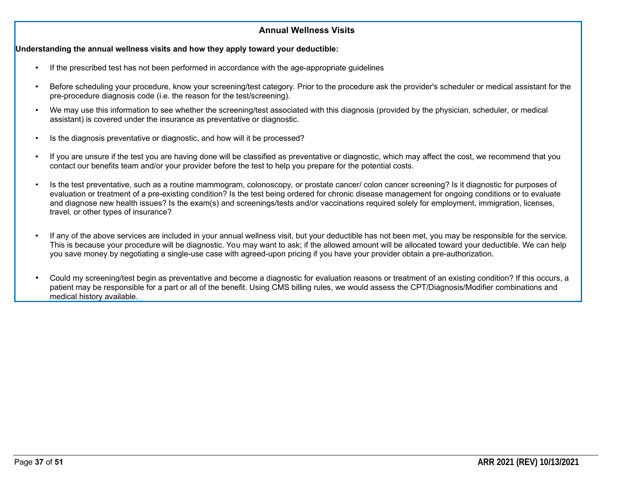#### **Annual Wellness Visits**

#### **Understanding the annual wellness visits and how they apply toward your deductible:**

- If the prescribed test has not been performed in accordance with the age-appropriate guidelines
- Before scheduling your procedure, know your screening/test category. Prior to the procedure ask the provider's scheduler or medical assistant for the pre-procedure diagnosis code (i.e. the reason for the test/screening).
- We may use this information to see whether the screening/test associated with this diagnosis (provided by the physician, scheduler, or medical assistant) is covered under the insurance as preventative or diagnostic.
- Is the diagnosis preventative or diagnostic, and how will it be processed?
- If you are unsure if the test you are having done will be classified as preventative or diagnostic, which may affect the cost, we recommend that you contact our benefits team and/or your provider before the test to help you prepare for the potential costs.
- Is the test preventative, such as a routine mammogram, colonoscopy, or prostate cancer/ colon cancer screening? Is it diagnostic for purposes of evaluation or treatment of a pre-existing condition? Is the test being ordered for chronic disease management for ongoing conditions or to evaluate and diagnose new health issues? Is the exam(s) and screenings/tests and/or vaccinations required solely for employment, immigration, licenses, travel, or other types of insurance?
- If any of the above services are included in your annual wellness visit, but your deductible has not been met, you may be responsible for the service. This is because your procedure will be diagnostic. You may want to ask; if the allowed amount will be allocated toward your deductible. We can help you save money by negotiating a single-use case with agreed-upon pricing if you have your provider obtain a pre-authorization.
- Could my screening/test begin as preventative and become a diagnostic for evaluation reasons or treatment of an existing condition? If this occurs, a patient may be responsible for a part or all of the benefit. Using CMS billing rules, we would assess the CPT/Diagnosis/Modifier combinations and medical history available.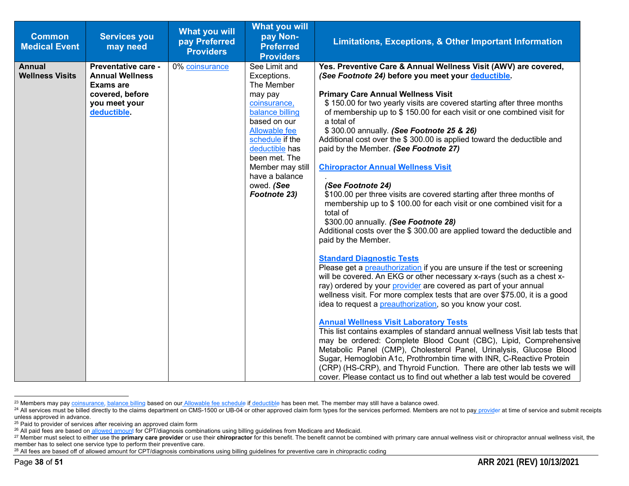| <b>Common</b><br><b>Medical Event</b>   | <b>Services you</b><br>may need                                                                                      | <b>What you will</b><br>pay Preferred<br><b>Providers</b> | What you will<br>pay Non-<br><b>Preferred</b><br><b>Providers</b>                                                                                                                                                                                          | Limitations, Exceptions, & Other Important Information                                                                                                                                                                                                                                                                                                                                                                                                                                                                                                                                                                                                                                                                                                                                                                                                                                                                                                                                                                                                                                                                                                                                                                                                                                                                                                                                                                                                                                                                                                                                                                                                                                                                                                                                                          |
|-----------------------------------------|----------------------------------------------------------------------------------------------------------------------|-----------------------------------------------------------|------------------------------------------------------------------------------------------------------------------------------------------------------------------------------------------------------------------------------------------------------------|-----------------------------------------------------------------------------------------------------------------------------------------------------------------------------------------------------------------------------------------------------------------------------------------------------------------------------------------------------------------------------------------------------------------------------------------------------------------------------------------------------------------------------------------------------------------------------------------------------------------------------------------------------------------------------------------------------------------------------------------------------------------------------------------------------------------------------------------------------------------------------------------------------------------------------------------------------------------------------------------------------------------------------------------------------------------------------------------------------------------------------------------------------------------------------------------------------------------------------------------------------------------------------------------------------------------------------------------------------------------------------------------------------------------------------------------------------------------------------------------------------------------------------------------------------------------------------------------------------------------------------------------------------------------------------------------------------------------------------------------------------------------------------------------------------------------|
| <b>Annual</b><br><b>Wellness Visits</b> | Preventative care -<br><b>Annual Wellness</b><br><b>Exams are</b><br>covered, before<br>you meet your<br>deductible. | 0% coinsurance                                            | See Limit and<br>Exceptions.<br>The Member<br>may pay<br>coinsurance,<br>balance billing<br>based on our<br><b>Allowable fee</b><br>schedule if the<br>deductible has<br>been met. The<br>Member may still<br>have a balance<br>owed. (See<br>Footnote 23) | Yes. Preventive Care & Annual Wellness Visit (AWV) are covered,<br>(See Footnote 24) before you meet your deductible.<br><b>Primary Care Annual Wellness Visit</b><br>\$150.00 for two yearly visits are covered starting after three months<br>of membership up to \$150.00 for each visit or one combined visit for<br>a total of<br>\$300.00 annually. (See Footnote 25 & 26)<br>Additional cost over the \$300.00 is applied toward the deductible and<br>paid by the Member. (See Footnote 27)<br><b>Chiropractor Annual Wellness Visit</b><br>(See Footnote 24)<br>\$100.00 per three visits are covered starting after three months of<br>membership up to \$100.00 for each visit or one combined visit for a<br>total of<br>\$300.00 annually. (See Footnote 28)<br>Additional costs over the \$300.00 are applied toward the deductible and<br>paid by the Member.<br><b>Standard Diagnostic Tests</b><br>Please get a <i>preauthorization</i> if you are unsure if the test or screening<br>will be covered. An EKG or other necessary x-rays (such as a chest x-<br>ray) ordered by your provider are covered as part of your annual<br>wellness visit. For more complex tests that are over \$75.00, it is a good<br>idea to request a <i>preauthorization</i> , so you know your cost.<br><b>Annual Wellness Visit Laboratory Tests</b><br>This list contains examples of standard annual wellness Visit lab tests that<br>may be ordered: Complete Blood Count (CBC), Lipid, Comprehensive<br>Metabolic Panel (CMP), Cholesterol Panel, Urinalysis, Glucose Blood<br>Sugar, Hemoglobin A1c, Prothrombin time with INR, C-Reactive Protein<br>(CRP) (HS-CRP), and Thyroid Function. There are other lab tests we will<br>cover. Please contact us to find out whether a lab test would be covered |

<sup>&</sup>lt;sup>23</sup> Members may pay coinsurance, balance billing based on our Allowable fee schedule if deductible has been met. The member may still have a balance owed.

<sup>&</sup>lt;sup>24</sup> All services must be billed directly to the claims department on CMS-1500 or UB-04 or other approved claim form types for the services performed. Members are not to pay provider at time of service and submit receipts unless approved in advance.

<sup>&</sup>lt;sup>25</sup> Paid to provider of services after receiving an approved claim form

<sup>&</sup>lt;sup>26</sup> All paid fees are based on allowed amount for CPT/diagnosis combinations using billing guidelines from Medicare and Medicaid.

<sup>27</sup> Member must select to either use the primary care provider or use their chiropractor for this benefit. The benefit cannot be combined with primary care annual wellness visit or chiropractor annual wellness visit, the member has to select one service type to perform their preventive care.

<sup>&</sup>lt;sup>28</sup> All fees are based off of allowed amount for CPT/diagnosis combinations using billing guidelines for preventive care in chiropractic coding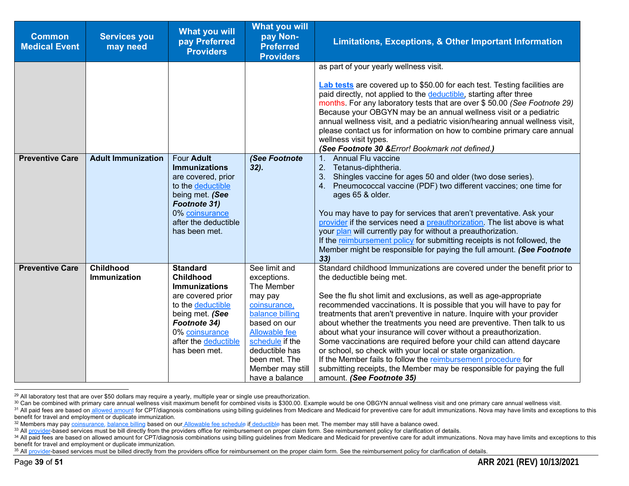| <b>Common</b><br><b>Medical Event</b> | <b>Services you</b><br>may need | <b>What you will</b><br>pay Preferred<br><b>Providers</b> | <b>What you will</b><br>pay Non-<br><b>Preferred</b><br><b>Providers</b> | Limitations, Exceptions, & Other Important Information                                                                                                                                                                                                                                                                                                                                                                                                                                                                                          |
|---------------------------------------|---------------------------------|-----------------------------------------------------------|--------------------------------------------------------------------------|-------------------------------------------------------------------------------------------------------------------------------------------------------------------------------------------------------------------------------------------------------------------------------------------------------------------------------------------------------------------------------------------------------------------------------------------------------------------------------------------------------------------------------------------------|
|                                       |                                 |                                                           |                                                                          | as part of your yearly wellness visit.                                                                                                                                                                                                                                                                                                                                                                                                                                                                                                          |
|                                       |                                 |                                                           |                                                                          | <b>Lab tests</b> are covered up to \$50.00 for each test. Testing facilities are<br>paid directly, not applied to the deductible, starting after three<br>months. For any laboratory tests that are over \$50.00 (See Footnote 29)<br>Because your OBGYN may be an annual wellness visit or a pediatric<br>annual wellness visit, and a pediatric vision/hearing annual wellness visit,<br>please contact us for information on how to combine primary care annual<br>wellness visit types.<br>(See Footnote 30 & Error! Bookmark not defined.) |
| <b>Preventive Care</b>                | <b>Adult Immunization</b>       | Four Adult<br><b>Immunizations</b>                        | (See Footnote                                                            | Annual Flu vaccine<br>$1_{-}$                                                                                                                                                                                                                                                                                                                                                                                                                                                                                                                   |
|                                       |                                 | are covered, prior                                        | $32$ ).                                                                  | 2.<br>Tetanus-diphtheria.<br>Shingles vaccine for ages 50 and older (two dose series).<br>3.                                                                                                                                                                                                                                                                                                                                                                                                                                                    |
|                                       |                                 | to the deductible                                         |                                                                          | Pneumococcal vaccine (PDF) two different vaccines; one time for<br>4.                                                                                                                                                                                                                                                                                                                                                                                                                                                                           |
|                                       |                                 | being met. (See                                           |                                                                          | ages 65 & older.                                                                                                                                                                                                                                                                                                                                                                                                                                                                                                                                |
|                                       |                                 | Footnote 31)                                              |                                                                          |                                                                                                                                                                                                                                                                                                                                                                                                                                                                                                                                                 |
|                                       |                                 | 0% coinsurance<br>after the deductible                    |                                                                          | You may have to pay for services that aren't preventative. Ask your<br>provider if the services need a preauthorization. The list above is what                                                                                                                                                                                                                                                                                                                                                                                                 |
|                                       |                                 | has been met.                                             |                                                                          | your plan will currently pay for without a preauthorization.                                                                                                                                                                                                                                                                                                                                                                                                                                                                                    |
|                                       |                                 |                                                           |                                                                          | If the reimbursement policy for submitting receipts is not followed, the                                                                                                                                                                                                                                                                                                                                                                                                                                                                        |
|                                       |                                 |                                                           |                                                                          | Member might be responsible for paying the full amount. (See Footnote<br>33)                                                                                                                                                                                                                                                                                                                                                                                                                                                                    |
| <b>Preventive Care</b>                | Childhood                       | <b>Standard</b>                                           | See limit and                                                            | Standard childhood Immunizations are covered under the benefit prior to                                                                                                                                                                                                                                                                                                                                                                                                                                                                         |
|                                       | Immunization                    | <b>Childhood</b>                                          | exceptions.                                                              | the deductible being met.                                                                                                                                                                                                                                                                                                                                                                                                                                                                                                                       |
|                                       |                                 | <b>Immunizations</b><br>are covered prior                 | The Member                                                               | See the flu shot limit and exclusions, as well as age-appropriate                                                                                                                                                                                                                                                                                                                                                                                                                                                                               |
|                                       |                                 | to the deductible                                         | may pay<br>coinsurance,                                                  | recommended vaccinations. It is possible that you will have to pay for                                                                                                                                                                                                                                                                                                                                                                                                                                                                          |
|                                       |                                 | being met. (See                                           | balance billing                                                          | treatments that aren't preventive in nature. Inquire with your provider                                                                                                                                                                                                                                                                                                                                                                                                                                                                         |
|                                       |                                 | Footnote 34)                                              | based on our                                                             | about whether the treatments you need are preventive. Then talk to us                                                                                                                                                                                                                                                                                                                                                                                                                                                                           |
|                                       |                                 | 0% coinsurance                                            | <b>Allowable</b> fee                                                     | about what your insurance will cover without a preauthorization.                                                                                                                                                                                                                                                                                                                                                                                                                                                                                |
|                                       |                                 | after the deductible                                      | schedule if the                                                          | Some vaccinations are required before your child can attend daycare                                                                                                                                                                                                                                                                                                                                                                                                                                                                             |
|                                       |                                 | has been met.                                             | deductible has<br>been met. The                                          | or school, so check with your local or state organization.<br>If the Member fails to follow the reimbursement procedure for                                                                                                                                                                                                                                                                                                                                                                                                                     |
|                                       |                                 |                                                           | Member may still                                                         | submitting receipts, the Member may be responsible for paying the full                                                                                                                                                                                                                                                                                                                                                                                                                                                                          |
|                                       |                                 |                                                           | have a balance                                                           | amount. (See Footnote 35)                                                                                                                                                                                                                                                                                                                                                                                                                                                                                                                       |

 $29$  All laboratory test that are over \$50 dollars may require a yearly, multiple year or single use preauthorization.

<sup>30</sup> Can be combined with primary care annual wellness visit maximum benefit for combined visits is \$300.00. Example would be one OBGYN annual wellness visit and one primary care annual wellness visit

<sup>&</sup>lt;sup>31</sup> All paid fees are based on allowed amount for CPT/diagnosis combinations using billing guidelines from Medicare and Medicaid for preventive care for adult immunizations. Nova may have limits and exceptions to this benefit for travel and employment or duplicate immunization.

<sup>&</sup>lt;sup>32</sup> Members may pay coinsurance, balance billing based on our Allowable fee schedule if deductible has been met. The member may still have a balance owed.

<sup>33</sup> All provider-based services must be bill directly from the providers office for reimbursement on proper claim form. See reimbursement policy for clarification of details.

<sup>34</sup> All paid fees are based on allowed amount for CPT/diagnosis combinations using billing guidelines from Medicare and Medicaid for preventive care for adult immunizations. Nova may have limits and exceptions to this benefit for travel and employment or duplicate immunization.

<sup>&</sup>lt;sup>35</sup> All provider-based services must be billed directly from the providers office for reimbursement on the proper claim form. See the reimbursement policy for clarification of details.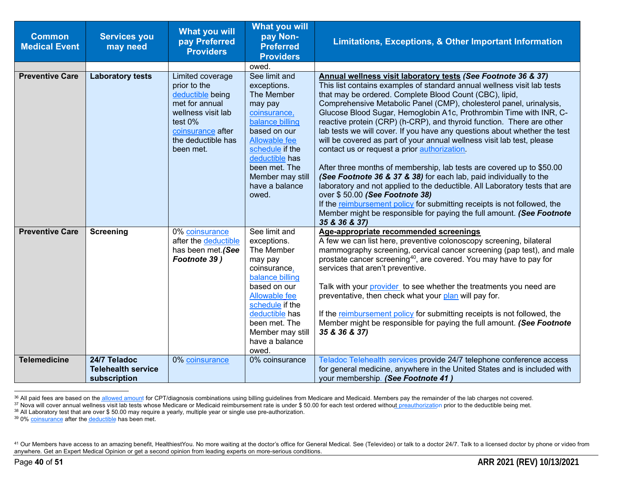| <b>Common</b><br><b>Medical Event</b> | <b>Services you</b><br>may need                           | <b>What you will</b><br>pay Preferred<br><b>Providers</b>                                                                                                       | <b>What you will</b><br>pay Non-<br><b>Preferred</b><br><b>Providers</b>                                                                                                                                                       | <b>Limitations, Exceptions, &amp; Other Important Information</b>                                                                                                                                                                                                                                                                                                                                                                                                                                                                                                                                                                                                                                                                                                                                                                                                                                                                                                                                                                                                      |
|---------------------------------------|-----------------------------------------------------------|-----------------------------------------------------------------------------------------------------------------------------------------------------------------|--------------------------------------------------------------------------------------------------------------------------------------------------------------------------------------------------------------------------------|------------------------------------------------------------------------------------------------------------------------------------------------------------------------------------------------------------------------------------------------------------------------------------------------------------------------------------------------------------------------------------------------------------------------------------------------------------------------------------------------------------------------------------------------------------------------------------------------------------------------------------------------------------------------------------------------------------------------------------------------------------------------------------------------------------------------------------------------------------------------------------------------------------------------------------------------------------------------------------------------------------------------------------------------------------------------|
|                                       |                                                           |                                                                                                                                                                 | owed.                                                                                                                                                                                                                          |                                                                                                                                                                                                                                                                                                                                                                                                                                                                                                                                                                                                                                                                                                                                                                                                                                                                                                                                                                                                                                                                        |
| <b>Preventive Care</b>                | <b>Laboratory tests</b>                                   | Limited coverage<br>prior to the<br>deductible being<br>met for annual<br>wellness visit lab<br>test 0%<br>coinsurance after<br>the deductible has<br>been met. | See limit and<br>exceptions.<br>The Member<br>may pay<br>coinsurance,<br>balance billing<br>based on our<br>Allowable fee<br>schedule if the<br>deductible has<br>been met. The<br>Member may still<br>have a balance<br>owed. | Annual wellness visit laboratory tests (See Footnote 36 & 37)<br>This list contains examples of standard annual wellness visit lab tests<br>that may be ordered. Complete Blood Count (CBC), lipid,<br>Comprehensive Metabolic Panel (CMP), cholesterol panel, urinalysis,<br>Glucose Blood Sugar, Hemoglobin A1c, Prothrombin Time with INR, C-<br>reactive protein (CRP) (h-CRP), and thyroid function. There are other<br>lab tests we will cover. If you have any questions about whether the test<br>will be covered as part of your annual wellness visit lab test, please<br>contact us or request a prior authorization.<br>After three months of membership, lab tests are covered up to \$50.00<br>(See Footnote 36 & 37 & 38) for each lab, paid individually to the<br>laboratory and not applied to the deductible. All Laboratory tests that are<br>over \$50.00 (See Footnote 38)<br>If the reimbursement policy for submitting receipts is not followed, the<br>Member might be responsible for paying the full amount. (See Footnote<br>35 & 36 & 37) |
| <b>Preventive Care</b>                | <b>Screening</b>                                          | 0% coinsurance<br>after the deductible<br>has been met.(See<br>Footnote 39)                                                                                     | See limit and<br>exceptions.<br>The Member<br>may pay<br>coinsurance,<br>balance billing<br>based on our<br>Allowable fee<br>schedule if the<br>deductible has<br>been met. The<br>Member may still<br>have a balance<br>owed. | Age-appropriate recommended screenings<br>A few we can list here, preventive colonoscopy screening, bilateral<br>mammography screening, cervical cancer screening (pap test), and male<br>prostate cancer screening <sup>40</sup> , are covered. You may have to pay for<br>services that aren't preventive.<br>Talk with your provider to see whether the treatments you need are<br>preventative, then check what your plan will pay for.<br>If the reimbursement policy for submitting receipts is not followed, the<br>Member might be responsible for paying the full amount. (See Footnote<br>35 & 36 & 37)                                                                                                                                                                                                                                                                                                                                                                                                                                                      |
| <b>Telemedicine</b>                   | 24/7 Teladoc<br><b>Telehealth service</b><br>subscription | 0% coinsurance                                                                                                                                                  | 0% coinsurance                                                                                                                                                                                                                 | Teladoc Telehealth services provide 24/7 telephone conference access<br>for general medicine, anywhere in the United States and is included with<br>your membership. (See Footnote 41)                                                                                                                                                                                                                                                                                                                                                                                                                                                                                                                                                                                                                                                                                                                                                                                                                                                                                 |

<sup>36</sup> All paid fees are based on the allowed amount for CPT/diagnosis combinations using billing guidelines from Medicare and Medicaid. Members pay the remainder of the lab charges not covered.

<sup>37</sup> Nova will cover annual wellness visit lab tests whose Medicare or Medicaid reimbursement rate is under \$50.00 for each test ordered without preauthorization prior to the deductible being met.

 $38$  All Laboratory test that are over \$ 50.00 may require a yearly, multiple year or single use pre-authorization.

<sup>&</sup>lt;sup>39</sup> 0% coinsurance after the deductible has been met.

<sup>&</sup>lt;sup>41</sup> Our Members have access to an amazing benefit, HealthiestYou. No more waiting at the doctor's office for General Medical. See (Televideo) or talk to a doctor 24/7. Talk to a licensed doctor by phone or video from anywhere. Get an Expert Medical Opinion or get a second opinion from leading experts on more-serious conditions.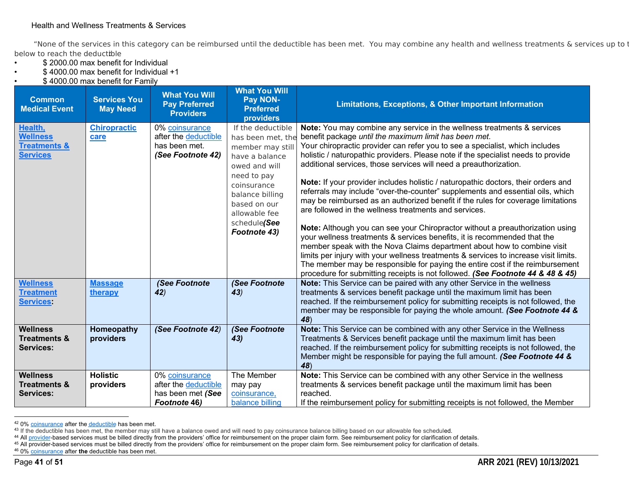#### Health and Wellness Treatments & Services

"None of the services in this category can be reimbursed until the deductible has been met. You may combine any health and wellness treatments & services up to t below to reach the deductible **:** 

- \$ 2000.00 max benefit for Individual
- \$ 4000.00 max benefit for Individual +1
- \$ 4000.00 max benefit for Family

| <b>Common</b><br><b>Medical Event</b>                   | <b>Services You</b><br><b>May Need</b> | <b>What You Will</b><br><b>Pay Preferred</b><br><b>Providers</b> | <b>What You Will</b><br>Pay NON-<br><b>Preferred</b><br>providers                              | <b>Limitations, Exceptions, &amp; Other Important Information</b>                                                                                                                                                                                                                                                                                                                                                                                                                               |
|---------------------------------------------------------|----------------------------------------|------------------------------------------------------------------|------------------------------------------------------------------------------------------------|-------------------------------------------------------------------------------------------------------------------------------------------------------------------------------------------------------------------------------------------------------------------------------------------------------------------------------------------------------------------------------------------------------------------------------------------------------------------------------------------------|
| Health,                                                 | <b>Chiropractic</b>                    | 0% coinsurance                                                   | If the deductible                                                                              | Note: You may combine any service in the wellness treatments & services                                                                                                                                                                                                                                                                                                                                                                                                                         |
| <b>Wellness</b><br><b>Treatments &amp;</b>              | care                                   | after the deductible<br>has been met.                            | has been met, the                                                                              | benefit package until the maximum limit has been met.<br>Your chiropractic provider can refer you to see a specialist, which includes                                                                                                                                                                                                                                                                                                                                                           |
| <b>Services</b>                                         |                                        | (See Footnote 42)                                                | member may still<br>have a balance                                                             | holistic / naturopathic providers. Please note if the specialist needs to provide                                                                                                                                                                                                                                                                                                                                                                                                               |
|                                                         |                                        |                                                                  | owed and will                                                                                  | additional services, those services will need a preauthorization.                                                                                                                                                                                                                                                                                                                                                                                                                               |
|                                                         |                                        |                                                                  | need to pay<br>coinsurance<br>balance billing<br>based on our<br>allowable fee<br>schedule(See | Note: If your provider includes holistic / naturopathic doctors, their orders and<br>referrals may include "over-the-counter" supplements and essential oils, which<br>may be reimbursed as an authorized benefit if the rules for coverage limitations<br>are followed in the wellness treatments and services.                                                                                                                                                                                |
|                                                         |                                        |                                                                  | Footnote 43)                                                                                   | Note: Although you can see your Chiropractor without a preauthorization using<br>your wellness treatments & services benefits, it is recommended that the<br>member speak with the Nova Claims department about how to combine visit<br>limits per injury with your wellness treatments & services to increase visit limits.<br>The member may be responsible for paying the entire cost if the reimbursement<br>procedure for submitting receipts is not followed. (See Footnote 44 & 48 & 45) |
| <b>Wellness</b><br><b>Treatment</b><br><b>Services:</b> | <b>Massage</b><br>therapy              | (See Footnote<br>42)                                             | (See Footnote<br>43)                                                                           | Note: This Service can be paired with any other Service in the wellness<br>treatments & services benefit package until the maximum limit has been<br>reached. If the reimbursement policy for submitting receipts is not followed, the<br>member may be responsible for paying the whole amount. (See Footnote 44 &<br>48)                                                                                                                                                                      |
| <b>Wellness</b>                                         | Homeopathy                             | (See Footnote 42)                                                | (See Footnote                                                                                  | Note: This Service can be combined with any other Service in the Wellness                                                                                                                                                                                                                                                                                                                                                                                                                       |
| <b>Treatments &amp;</b><br><b>Services:</b>             | providers                              |                                                                  | 43)                                                                                            | Treatments & Services benefit package until the maximum limit has been<br>reached. If the reimbursement policy for submitting receipts is not followed, the                                                                                                                                                                                                                                                                                                                                     |
|                                                         |                                        |                                                                  |                                                                                                | Member might be responsible for paying the full amount. (See Footnote 44 &<br>48)                                                                                                                                                                                                                                                                                                                                                                                                               |
| <b>Wellness</b>                                         | <b>Holistic</b>                        | 0% coinsurance                                                   | The Member                                                                                     | Note: This Service can be combined with any other Service in the wellness                                                                                                                                                                                                                                                                                                                                                                                                                       |
| <b>Treatments &amp;</b>                                 | providers                              | after the deductible                                             | may pay                                                                                        | treatments & services benefit package until the maximum limit has been                                                                                                                                                                                                                                                                                                                                                                                                                          |
| <b>Services:</b>                                        |                                        | has been met (See<br><b>Footnote 46)</b>                         | coinsurance,<br>balance billing                                                                | reached.<br>If the reimbursement policy for submitting receipts is not followed, the Member                                                                                                                                                                                                                                                                                                                                                                                                     |
|                                                         |                                        |                                                                  |                                                                                                |                                                                                                                                                                                                                                                                                                                                                                                                                                                                                                 |

<sup>&</sup>lt;sup>42</sup> 0% coinsurance after the deductible has been met.

<sup>46</sup> 0% coinsurance after **the** deductible has been met.

<sup>&</sup>lt;sup>43</sup> If the deductible has been met, the member may still have a balance owed and will need to pay coinsurance balance billing based on our allowable fee scheduled.

<sup>44</sup> All provider-based services must be billed directly from the providers' office for reimbursement on the proper claim form. See reimbursement policy for clarification of details.

<sup>45</sup> All provider-based services must be billed directly from the providers' office for reimbursement on the proper claim form. See reimbursement policy for clarification of details.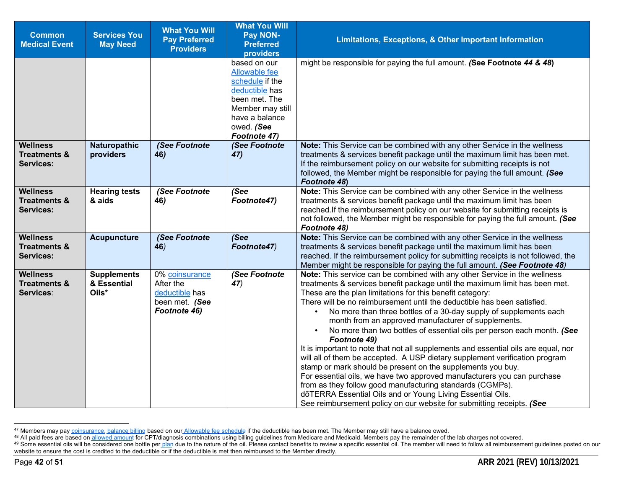| <b>Common</b><br><b>Medical Event</b>                          | <b>Services You</b><br><b>May Need</b>     | <b>What You Will</b><br><b>Pay Preferred</b><br><b>Providers</b>                | <b>What You Will</b><br>Pay NON-<br><b>Preferred</b><br>providers                                                                                       | <b>Limitations, Exceptions, &amp; Other Important Information</b>                                                                                                                                                                                                                                                                                                                                                                                                                                                                                                                                                                                                                                                                                                                                                                                                                                                                                                                                                                         |
|----------------------------------------------------------------|--------------------------------------------|---------------------------------------------------------------------------------|---------------------------------------------------------------------------------------------------------------------------------------------------------|-------------------------------------------------------------------------------------------------------------------------------------------------------------------------------------------------------------------------------------------------------------------------------------------------------------------------------------------------------------------------------------------------------------------------------------------------------------------------------------------------------------------------------------------------------------------------------------------------------------------------------------------------------------------------------------------------------------------------------------------------------------------------------------------------------------------------------------------------------------------------------------------------------------------------------------------------------------------------------------------------------------------------------------------|
|                                                                |                                            |                                                                                 | based on our<br>Allowable fee<br>schedule if the<br>deductible has<br>been met. The<br>Member may still<br>have a balance<br>owed. (See<br>Footnote 47) | might be responsible for paying the full amount. (See Footnote 44 & 48)                                                                                                                                                                                                                                                                                                                                                                                                                                                                                                                                                                                                                                                                                                                                                                                                                                                                                                                                                                   |
| <b>Wellness</b><br><b>Treatments &amp;</b><br><b>Services:</b> | <b>Naturopathic</b><br>providers           | (See Footnote<br>46)                                                            | (See Footnote<br>47)                                                                                                                                    | Note: This Service can be combined with any other Service in the wellness<br>treatments & services benefit package until the maximum limit has been met.<br>If the reimbursement policy on our website for submitting receipts is not<br>followed, the Member might be responsible for paying the full amount. (See<br><b>Footnote 48)</b>                                                                                                                                                                                                                                                                                                                                                                                                                                                                                                                                                                                                                                                                                                |
| <b>Wellness</b><br><b>Treatments &amp;</b><br><b>Services:</b> | <b>Hearing tests</b><br>& aids             | (See Footnote<br>46)                                                            | (See<br>Footnote47)                                                                                                                                     | Note: This Service can be combined with any other Service in the wellness<br>treatments & services benefit package until the maximum limit has been<br>reached. If the reimbursement policy on our website for submitting receipts is<br>not followed, the Member might be responsible for paying the full amount. (See<br>Footnote 48)                                                                                                                                                                                                                                                                                                                                                                                                                                                                                                                                                                                                                                                                                                   |
| <b>Wellness</b><br><b>Treatments &amp;</b><br><b>Services:</b> | <b>Acupuncture</b>                         | (See Footnote<br>46)                                                            | (See<br>Footnote47)                                                                                                                                     | Note: This Service can be combined with any other Service in the wellness<br>treatments & services benefit package until the maximum limit has been<br>reached. If the reimbursement policy for submitting receipts is not followed, the<br>Member might be responsible for paying the full amount. (See Footnote 48)                                                                                                                                                                                                                                                                                                                                                                                                                                                                                                                                                                                                                                                                                                                     |
| <b>Wellness</b><br><b>Treatments &amp;</b><br>Services:        | <b>Supplements</b><br>& Essential<br>Oils* | 0% coinsurance<br>After the<br>deductible has<br>been met. (See<br>Footnote 46) | (See Footnote<br>47)                                                                                                                                    | Note: This service can be combined with any other Service in the wellness<br>treatments & services benefit package until the maximum limit has been met.<br>These are the plan limitations for this benefit category:<br>There will be no reimbursement until the deductible has been satisfied.<br>No more than three bottles of a 30-day supply of supplements each<br>month from an approved manufacturer of supplements.<br>No more than two bottles of essential oils per person each month. (See<br>Footnote 49)<br>It is important to note that not all supplements and essential oils are equal, nor<br>will all of them be accepted. A USP dietary supplement verification program<br>stamp or mark should be present on the supplements you buy.<br>For essential oils, we have two approved manufacturers you can purchase<br>from as they follow good manufacturing standards (CGMPs).<br>dōTERRA Essential Oils and or Young Living Essential Oils.<br>See reimbursement policy on our website for submitting receipts. (See |

<sup>&</sup>lt;sup>47</sup> Members may pay coinsurance, balance billing based on our Allowable fee schedule if the deductible has been met. The Member may still have a balance owed.

<sup>&</sup>lt;sup>48</sup> All paid fees are based on allowed amount for CPT/diagnosis combinations using billing guidelines from Medicare and Medicaid. Members pay the remainder of the lab charges not covered.

<sup>&</sup>lt;sup>49</sup> Some essential oils will be considered one bottle per plan due to the nature of the oil. Please contact benefits to review a specific essential oil. The member will need to follow all reimbursement guidelines posted o website to ensure the cost is credited to the deductible or if the deductible is met then reimbursed to the Member directly.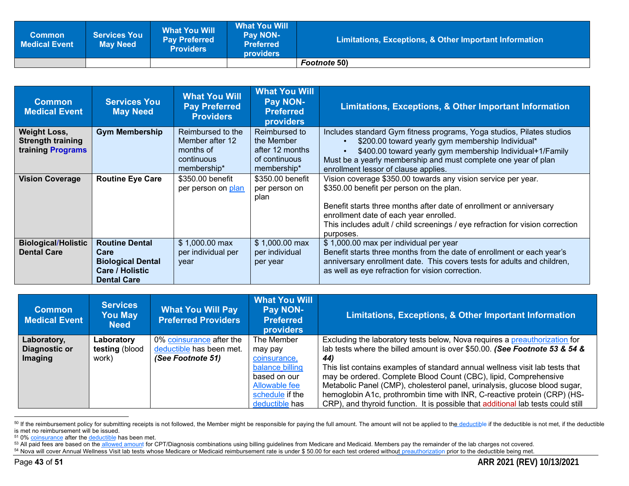| <b>Common</b><br><b>Medical Event</b> | <b>Services You</b><br><b>May Need</b> | <b>What You Will</b><br><b>Pay Preferred</b><br><b>Providers</b> | ⊾What You Will \<br><b>Pay NON-</b><br><b>Preferred</b><br><b>providers</b> | <b>Limitations, Exceptions, &amp; Other Important Information</b> |
|---------------------------------------|----------------------------------------|------------------------------------------------------------------|-----------------------------------------------------------------------------|-------------------------------------------------------------------|
|                                       |                                        |                                                                  |                                                                             | <b>Footnote 50)</b>                                               |

| <b>Common</b><br><b>Medical Event</b>                                | <b>Services You</b><br><b>May Need</b>                                                                    | <b>What You Will</b><br><b>Pay Preferred</b><br><b>Providers</b>               | <b>What You Will</b><br><b>Pay NON-</b><br><b>Preferred</b><br><b>providers</b> | Limitations, Exceptions, & Other Important Information                                                                                                                                                                                                                                                                   |
|----------------------------------------------------------------------|-----------------------------------------------------------------------------------------------------------|--------------------------------------------------------------------------------|---------------------------------------------------------------------------------|--------------------------------------------------------------------------------------------------------------------------------------------------------------------------------------------------------------------------------------------------------------------------------------------------------------------------|
| <b>Weight Loss,</b><br><b>Strength training</b><br>training Programs | <b>Gym Membership</b>                                                                                     | Reimbursed to the<br>Member after 12<br>months of<br>continuous<br>membership* | Reimbursed to<br>the Member<br>after 12 months<br>of continuous<br>membership*  | Includes standard Gym fitness programs, Yoga studios, Pilates studios<br>\$200.00 toward yearly gym membership Individual*<br>\$400.00 toward yearly gym membership Individual+1/Family<br>Must be a yearly membership and must complete one year of plan<br>enrollment lessor of clause applies.                        |
| <b>Vision Coverage</b>                                               | <b>Routine Eye Care</b>                                                                                   | \$350.00 benefit<br>per person on plan                                         | \$350.00 benefit<br>per person on<br>plan                                       | Vision coverage \$350.00 towards any vision service per year.<br>\$350.00 benefit per person on the plan.<br>Benefit starts three months after date of enrollment or anniversary<br>enrollment date of each year enrolled.<br>This includes adult / child screenings / eye refraction for vision correction<br>purposes. |
| <b>Biological/Holistic</b><br><b>Dental Care</b>                     | <b>Routine Dental</b><br>Care<br><b>Biological Dental</b><br><b>Care / Holistic</b><br><b>Dental Care</b> | $$1,000.00$ max<br>per individual per<br>year                                  | $$1,000.00 \text{ max}$<br>per individual<br>per year                           | \$1,000.00 max per individual per year<br>Benefit starts three months from the date of enrollment or each year's<br>anniversary enrollment date. This covers tests for adults and children,<br>as well as eye refraction for vision correction.                                                                          |

| <b>Common</b><br><b>Medical Event</b> | <b>Services</b><br><b>You May</b><br><b>Need</b> | <b>What You Will Pay</b><br><b>Preferred Providers</b> | <b>What You Will</b><br><b>Pay NON-</b><br><b>Preferred</b><br><b>providers</b> | Limitations, Exceptions, & Other Important Information                                                                                                   |
|---------------------------------------|--------------------------------------------------|--------------------------------------------------------|---------------------------------------------------------------------------------|----------------------------------------------------------------------------------------------------------------------------------------------------------|
| Laboratory,<br>Diagnostic or          | Laboratory<br>testing (blood                     | 0% coinsurance after the<br>deductible has been met.   | The Member<br>may pay                                                           | Excluding the laboratory tests below, Nova requires a preauthorization for<br>lab tests where the billed amount is over \$50.00. (See Footnote 53 & 54 & |
| <b>Imaging</b>                        | work)                                            | (See Footnote 51)                                      | coinsurance,                                                                    | 44)                                                                                                                                                      |
|                                       |                                                  |                                                        | balance billing<br>based on our                                                 | This list contains examples of standard annual wellness visit lab tests that                                                                             |
|                                       |                                                  |                                                        | Allowable fee                                                                   | may be ordered. Complete Blood Count (CBC), lipid, Comprehensive<br>Metabolic Panel (CMP), cholesterol panel, urinalysis, glucose blood sugar,           |
|                                       |                                                  |                                                        | schedule if the                                                                 | hemoglobin A1c, prothrombin time with INR, C-reactive protein (CRP) (HS-                                                                                 |
|                                       |                                                  |                                                        | deductible has                                                                  | CRP), and thyroid function. It is possible that additional lab tests could still                                                                         |

<sup>50</sup> If the reimbursement policy for submitting receipts is not followed, the Member might be responsible for paying the full amount. The amount will not be applied to the deductible if the deductible is not met, if the dedu is met no reimbursement will be issued.

<sup>&</sup>lt;sup>51</sup> 0% coinsurance after the deductible has been met.

<sup>&</sup>lt;sup>53</sup> All paid fees are based on the allowed amount for CPT/Diagnosis combinations using billing guidelines from Medicare and Medicaid. Members pay the remainder of the lab charges not covered.

<sup>54</sup> Nova will cover Annual Wellness Visit lab tests whose Medicare or Medicaid reimbursement rate is under \$50.00 for each test ordered without preauthorization prior to the deductible being met.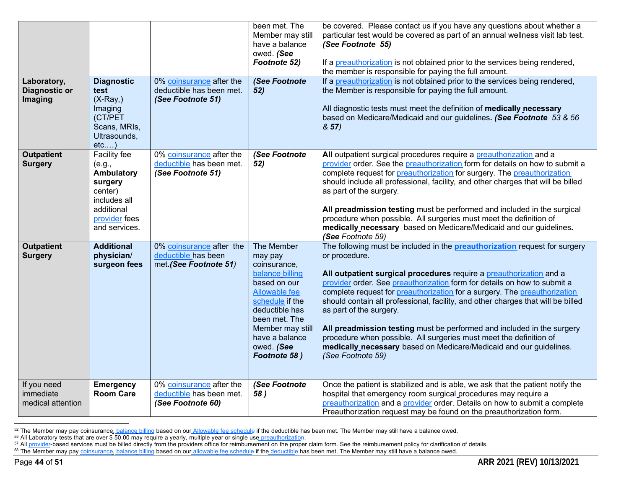| Laboratory,<br><b>Diagnostic or</b><br><b>Imaging</b> | <b>Diagnostic</b><br>test<br>$(X-Ray)$<br>Imaging<br>(CT/PET<br>Scans, MRIs,                               | 0% coinsurance after the<br>deductible has been met.<br>(See Footnote 51) | been met. The<br>Member may still<br>have a balance<br>owed. (See<br>Footnote 52)<br>(See Footnote<br>52)                                                                                                                  | be covered. Please contact us if you have any questions about whether a<br>particular test would be covered as part of an annual wellness visit lab test.<br>(See Footnote 55)<br>If a preauthorization is not obtained prior to the services being rendered,<br>the member is responsible for paying the full amount.<br>If a preauthorization is not obtained prior to the services being rendered,<br>the Member is responsible for paying the full amount.<br>All diagnostic tests must meet the definition of medically necessary<br>based on Medicare/Medicaid and our guidelines. (See Footnote 53 & 56<br>8.57                                                                       |
|-------------------------------------------------------|------------------------------------------------------------------------------------------------------------|---------------------------------------------------------------------------|----------------------------------------------------------------------------------------------------------------------------------------------------------------------------------------------------------------------------|----------------------------------------------------------------------------------------------------------------------------------------------------------------------------------------------------------------------------------------------------------------------------------------------------------------------------------------------------------------------------------------------------------------------------------------------------------------------------------------------------------------------------------------------------------------------------------------------------------------------------------------------------------------------------------------------|
| <b>Outpatient</b>                                     | Ultrasounds,<br>$etc$ )<br>Facility fee                                                                    | 0% coinsurance after the                                                  | (See Footnote                                                                                                                                                                                                              | All outpatient surgical procedures require a preauthorization and a                                                                                                                                                                                                                                                                                                                                                                                                                                                                                                                                                                                                                          |
| <b>Surgery</b>                                        | (e.g.,<br>Ambulatory<br>surgery<br>center)<br>includes all<br>additional<br>provider fees<br>and services. | deductible has been met.<br>(See Footnote 51)                             | 52)                                                                                                                                                                                                                        | provider order. See the preauthorization form for details on how to submit a<br>complete request for preauthorization for surgery. The preauthorization<br>should include all professional, facility, and other charges that will be billed<br>as part of the surgery.<br>All preadmission testing must be performed and included in the surgical<br>procedure when possible. All surgeries must meet the definition of<br>medically necessary based on Medicare/Medicaid and our guidelines.<br>(See Footnote 59)                                                                                                                                                                           |
| <b>Outpatient</b><br><b>Surgery</b>                   | <b>Additional</b><br>physician/<br>surgeon fees                                                            | 0% coinsurance after the<br>deductible has been<br>met.(See Footnote 51)  | The Member<br>may pay<br>coinsurance,<br>balance billing<br>based on our<br><b>Allowable fee</b><br>schedule if the<br>deductible has<br>been met. The<br>Member may still<br>have a balance<br>owed. (See<br>Footnote 58) | The following must be included in the <b>preauthorization</b> request for surgery<br>or procedure.<br>All outpatient surgical procedures require a preauthorization and a<br>provider order. See preauthorization form for details on how to submit a<br>complete request for preauthorization for a surgery. The preauthorization<br>should contain all professional, facility, and other charges that will be billed<br>as part of the surgery.<br>All preadmission testing must be performed and included in the surgery<br>procedure when possible. All surgeries must meet the definition of<br>medically necessary based on Medicare/Medicaid and our guidelines.<br>(See Footnote 59) |
| If you need<br>immediate<br>medical attention         | <b>Emergency</b><br><b>Room Care</b>                                                                       | 0% coinsurance after the<br>deductible has been met.<br>(See Footnote 60) | (See Footnote<br>58)                                                                                                                                                                                                       | Once the patient is stabilized and is able, we ask that the patient notify the<br>hospital that emergency room surgical procedures may require a<br>preauthorization and a provider order. Details on how to submit a complete<br>Preauthorization request may be found on the preauthorization form.                                                                                                                                                                                                                                                                                                                                                                                        |

<sup>&</sup>lt;sup>52</sup> The Member may pay coinsurance, balance billing based on our Allowable fee schedule if the deductible has been met. The Member may still have a balance owed.

<sup>&</sup>lt;sup>55</sup> All Laboratory tests that are over \$ 50.00 may require a yearly, multiple year or single use preauthorization.

<sup>&</sup>lt;sup>57</sup> All provider-based services must be billed directly from the providers office for reimbursement on the proper claim form. See the reimbursement policy for clarification of details.

<sup>&</sup>lt;sup>58</sup> The Member may pay coinsurance, balance billing based on our allowable fee schedule if the deductible has been met. The Member may still have a balance owed.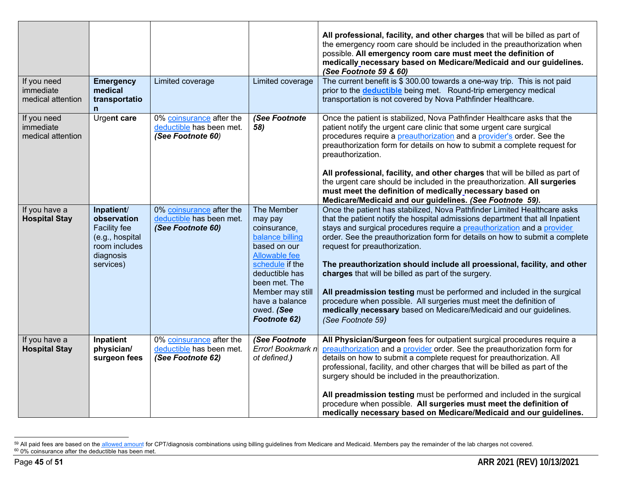| If you need                                   | <b>Emergency</b>                                                                                        | Limited coverage                                                          | Limited coverage                                                                                                                                                                                                           | All professional, facility, and other charges that will be billed as part of<br>the emergency room care should be included in the preauthorization when<br>possible. All emergency room care must meet the definition of<br>medically necessary based on Medicare/Medicaid and our guidelines.<br>(See Footnote 59 & 60)<br>The current benefit is \$300.00 towards a one-way trip. This is not paid                                                                                                                                                                                                                                                                                                                                 |
|-----------------------------------------------|---------------------------------------------------------------------------------------------------------|---------------------------------------------------------------------------|----------------------------------------------------------------------------------------------------------------------------------------------------------------------------------------------------------------------------|--------------------------------------------------------------------------------------------------------------------------------------------------------------------------------------------------------------------------------------------------------------------------------------------------------------------------------------------------------------------------------------------------------------------------------------------------------------------------------------------------------------------------------------------------------------------------------------------------------------------------------------------------------------------------------------------------------------------------------------|
| immediate<br>medical attention                | medical<br>transportatio<br>$\mathsf{n}$                                                                |                                                                           |                                                                                                                                                                                                                            | prior to the <b>deductible</b> being met. Round-trip emergency medical<br>transportation is not covered by Nova Pathfinder Healthcare.                                                                                                                                                                                                                                                                                                                                                                                                                                                                                                                                                                                               |
| If you need<br>immediate<br>medical attention | Urgent care                                                                                             | 0% coinsurance after the<br>deductible has been met.<br>(See Footnote 60) | (See Footnote<br>58)                                                                                                                                                                                                       | Once the patient is stabilized, Nova Pathfinder Healthcare asks that the<br>patient notify the urgent care clinic that some urgent care surgical<br>procedures require a preauthorization and a provider's order. See the<br>preauthorization form for details on how to submit a complete request for<br>preauthorization.<br>All professional, facility, and other charges that will be billed as part of<br>the urgent care should be included in the preauthorization. All surgeries<br>must meet the definition of medically necessary based on<br>Medicare/Medicaid and our guidelines. (See Footnote 59).                                                                                                                     |
| If you have a<br><b>Hospital Stay</b>         | Inpatient/<br>observation<br>Facility fee<br>(e.g., hospital<br>room includes<br>diagnosis<br>services) | 0% coinsurance after the<br>deductible has been met.<br>(See Footnote 60) | The Member<br>may pay<br>coinsurance,<br>balance billing<br>based on our<br><b>Allowable fee</b><br>schedule if the<br>deductible has<br>been met. The<br>Member may still<br>have a balance<br>owed. (See<br>Footnote 62) | Once the patient has stabilized, Nova Pathfinder Limited Healthcare asks<br>that the patient notify the hospital admissions department that all Inpatient<br>stays and surgical procedures require a preauthorization and a provider<br>order. See the preauthorization form for details on how to submit a complete<br>request for preauthorization.<br>The preauthorization should include all proessional, facility, and other<br>charges that will be billed as part of the surgery.<br>All preadmission testing must be performed and included in the surgical<br>procedure when possible. All surgeries must meet the definition of<br>medically necessary based on Medicare/Medicaid and our guidelines.<br>(See Footnote 59) |
| If you have a<br><b>Hospital Stay</b>         | Inpatient<br>physician/<br>surgeon fees                                                                 | 0% coinsurance after the<br>deductible has been met.<br>(See Footnote 62) | (See Footnote<br>Error! Bookmark n<br>ot defined.)                                                                                                                                                                         | All Physician/Surgeon fees for outpatient surgical procedures require a<br>preauthorization and a provider order. See the preauthorization form for<br>details on how to submit a complete request for preauthorization. All<br>professional, facility, and other charges that will be billed as part of the<br>surgery should be included in the preauthorization.<br>All preadmission testing must be performed and included in the surgical<br>procedure when possible. All surgeries must meet the definition of<br>medically necessary based on Medicare/Medicaid and our guidelines.                                                                                                                                           |

<sup>59</sup> All paid fees are based on the allowed amount for CPT/diagnosis combinations using billing guidelines from Medicare and Medicaid. Members pay the remainder of the lab charges not covered.  $60$  0% coinsurance after the deductible has been met.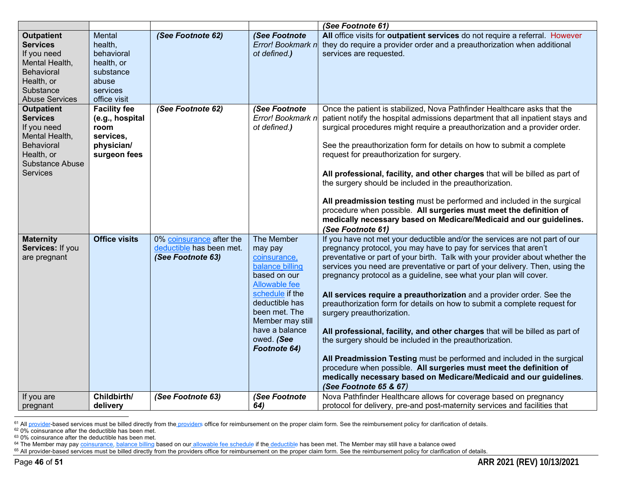|                                                                                                                                                |                                                                                                 |                                                                           |                                                                                                                                                                                                                            | (See Footnote 61)                                                                                                                                                                                                                                                                                                                                                                                                                                                                                                                                                                                                                                                                                                                                                                                                                                                                                                                                                    |
|------------------------------------------------------------------------------------------------------------------------------------------------|-------------------------------------------------------------------------------------------------|---------------------------------------------------------------------------|----------------------------------------------------------------------------------------------------------------------------------------------------------------------------------------------------------------------------|----------------------------------------------------------------------------------------------------------------------------------------------------------------------------------------------------------------------------------------------------------------------------------------------------------------------------------------------------------------------------------------------------------------------------------------------------------------------------------------------------------------------------------------------------------------------------------------------------------------------------------------------------------------------------------------------------------------------------------------------------------------------------------------------------------------------------------------------------------------------------------------------------------------------------------------------------------------------|
| <b>Outpatient</b><br><b>Services</b><br>If you need<br>Mental Health,<br>Behavioral<br>Health, or<br>Substance<br><b>Abuse Services</b>        | Mental<br>health,<br>behavioral<br>health, or<br>substance<br>abuse<br>services<br>office visit | (See Footnote 62)                                                         | (See Footnote<br>Error! Bookmark n<br>ot defined.)                                                                                                                                                                         | All office visits for outpatient services do not require a referral. However<br>they do require a provider order and a preauthorization when additional<br>services are requested.                                                                                                                                                                                                                                                                                                                                                                                                                                                                                                                                                                                                                                                                                                                                                                                   |
| <b>Outpatient</b><br><b>Services</b><br>If you need<br>Mental Health,<br>Behavioral<br>Health, or<br><b>Substance Abuse</b><br><b>Services</b> | <b>Facility fee</b><br>(e.g., hospital<br>room<br>services,<br>physician/<br>surgeon fees       | (See Footnote 62)                                                         | (See Footnote<br>Error! Bookmark n<br>ot defined.)                                                                                                                                                                         | Once the patient is stabilized, Nova Pathfinder Healthcare asks that the<br>patient notify the hospital admissions department that all inpatient stays and<br>surgical procedures might require a preauthorization and a provider order.<br>See the preauthorization form for details on how to submit a complete<br>request for preauthorization for surgery.<br>All professional, facility, and other charges that will be billed as part of<br>the surgery should be included in the preauthorization.<br>All preadmission testing must be performed and included in the surgical<br>procedure when possible. All surgeries must meet the definition of<br>medically necessary based on Medicare/Medicaid and our guidelines.<br>(See Footnote 61)                                                                                                                                                                                                                |
| <b>Maternity</b><br>Services: If you<br>are pregnant                                                                                           | <b>Office visits</b>                                                                            | 0% coinsurance after the<br>deductible has been met.<br>(See Footnote 63) | The Member<br>may pay<br>coinsurance,<br>balance billing<br>based on our<br><b>Allowable fee</b><br>schedule if the<br>deductible has<br>been met. The<br>Member may still<br>have a balance<br>owed. (See<br>Footnote 64) | If you have not met your deductible and/or the services are not part of our<br>pregnancy protocol, you may have to pay for services that aren't<br>preventative or part of your birth. Talk with your provider about whether the<br>services you need are preventative or part of your delivery. Then, using the<br>pregnancy protocol as a guideline, see what your plan will cover.<br>All services require a preauthorization and a provider order. See the<br>preauthorization form for details on how to submit a complete request for<br>surgery preauthorization.<br>All professional, facility, and other charges that will be billed as part of<br>the surgery should be included in the preauthorization.<br>All Preadmission Testing must be performed and included in the surgical<br>procedure when possible. All surgeries must meet the definition of<br>medically necessary based on Medicare/Medicaid and our guidelines.<br>(See Footnote 65 & 67) |
| If you are<br>pregnant                                                                                                                         | Childbirth/<br>delivery                                                                         | (See Footnote 63)                                                         | (See Footnote<br>64)                                                                                                                                                                                                       | Nova Pathfinder Healthcare allows for coverage based on pregnancy<br>protocol for delivery, pre-and post-maternity services and facilities that                                                                                                                                                                                                                                                                                                                                                                                                                                                                                                                                                                                                                                                                                                                                                                                                                      |

<sup>61</sup> All provider-based services must be billed directly from the providers office for reimbursement on the proper claim form. See the reimbursement policy for clarification of details.

 $62$  0% coinsurance after the deductible has been met.

<sup>63</sup> 0% coinsurance after the deductible has been met.

<sup>&</sup>lt;sup>64</sup> The Member may pay coinsurance, balance billing based on our allowable fee schedule if the deductible has been met. The Member may still have a balance owed

<sup>&</sup>lt;sup>65</sup> All provider-based services must be billed directly from the providers office for reimbursement on the proper claim form. See the reimbursement policy for clarification of details.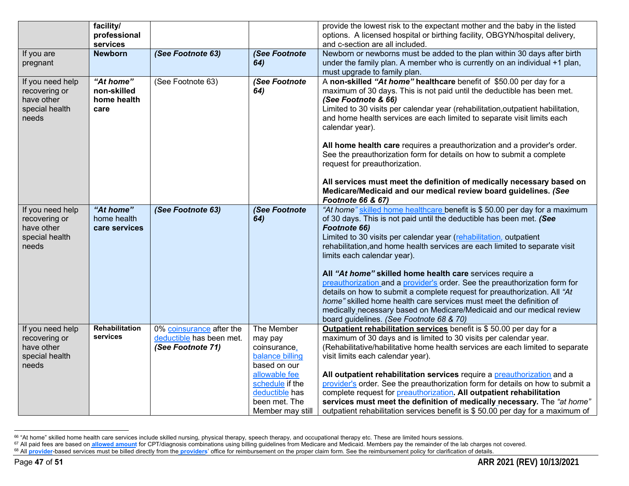|                                                                            | facility/<br>professional<br>services           |                                                                           |                                                                                                                                                                     | provide the lowest risk to the expectant mother and the baby in the listed<br>options. A licensed hospital or birthing facility, OBGYN/hospital delivery,<br>and c-section are all included.                                                                                                                                                                                                                                                                                                                                                                                                                                                                                                                                                                               |
|----------------------------------------------------------------------------|-------------------------------------------------|---------------------------------------------------------------------------|---------------------------------------------------------------------------------------------------------------------------------------------------------------------|----------------------------------------------------------------------------------------------------------------------------------------------------------------------------------------------------------------------------------------------------------------------------------------------------------------------------------------------------------------------------------------------------------------------------------------------------------------------------------------------------------------------------------------------------------------------------------------------------------------------------------------------------------------------------------------------------------------------------------------------------------------------------|
| If you are<br>pregnant                                                     | <b>Newborn</b>                                  | (See Footnote 63)                                                         | (See Footnote<br>64)                                                                                                                                                | Newborn or newborns must be added to the plan within 30 days after birth<br>under the family plan. A member who is currently on an individual +1 plan,<br>must upgrade to family plan.                                                                                                                                                                                                                                                                                                                                                                                                                                                                                                                                                                                     |
| If you need help<br>recovering or<br>have other<br>special health<br>needs | "At home"<br>non-skilled<br>home health<br>care | (See Footnote 63)                                                         | (See Footnote<br>64)                                                                                                                                                | A non-skilled "At home" healthcare benefit of \$50.00 per day for a<br>maximum of 30 days. This is not paid until the deductible has been met.<br>(See Footnote & 66)<br>Limited to 30 visits per calendar year (rehabilitation, outpatient habilitation,<br>and home health services are each limited to separate visit limits each<br>calendar year).<br>All home health care requires a preauthorization and a provider's order.<br>See the preauthorization form for details on how to submit a complete<br>request for preauthorization.<br>All services must meet the definition of medically necessary based on<br>Medicare/Medicaid and our medical review board guidelines. (See                                                                                  |
|                                                                            |                                                 |                                                                           |                                                                                                                                                                     | Footnote 66 & 67)                                                                                                                                                                                                                                                                                                                                                                                                                                                                                                                                                                                                                                                                                                                                                          |
| If you need help<br>recovering or<br>have other<br>special health<br>needs | "At home"<br>home health<br>care services       | (See Footnote 63)                                                         | (See Footnote<br>64)                                                                                                                                                | "At home" skilled home healthcare benefit is \$50.00 per day for a maximum<br>of 30 days. This is not paid until the deductible has been met. (See<br>Footnote 66)<br>Limited to 30 visits per calendar year (rehabilitation, outpatient<br>rehabilitation, and home health services are each limited to separate visit<br>limits each calendar year).<br>All "At home" skilled home health care services require a<br>preauthorization and a provider's order. See the preauthorization form for<br>details on how to submit a complete request for preauthorization. All "At<br>home" skilled home health care services must meet the definition of<br>medically necessary based on Medicare/Medicaid and our medical review<br>board guidelines. (See Footnote 68 & 70) |
| If you need help<br>recovering or<br>have other<br>special health<br>needs | Rehabilitation<br>services                      | 0% coinsurance after the<br>deductible has been met.<br>(See Footnote 71) | The Member<br>may pay<br>coinsurance,<br>balance billing<br>based on our<br>allowable fee<br>schedule if the<br>deductible has<br>been met. The<br>Member may still | Outpatient rehabilitation services benefit is \$50.00 per day for a<br>maximum of 30 days and is limited to 30 visits per calendar year.<br>(Rehabilitative/habilitative home health services are each limited to separate<br>visit limits each calendar year).<br>All outpatient rehabilitation services require a preauthorization and a<br>provider's order. See the preauthorization form for details on how to submit a<br>complete request for <i>preauthorization</i> . All outpatient rehabilitation<br>services must meet the definition of medically necessary. The "at home"<br>outpatient rehabilitation services benefit is \$50.00 per day for a maximum of                                                                                                  |

<sup>&</sup>lt;sup>66</sup> "At home" skilled home health care services include skilled nursing, physical therapy, speech therapy, and occupational therapy etc. These are limited hours sessions.

<sup>&</sup>lt;sup>67</sup> All paid fees are based on allowed amount for CPT/diagnosis combinations using billing guidelines from Medicare and Medicaid. Members pay the remainder of the lab charges not covered.

<sup>&</sup>lt;sup>68</sup> All provider-based services must be billed directly from the **providers'** office for reimbursement on the proper claim form. See the reimbursement policy for clarification of details.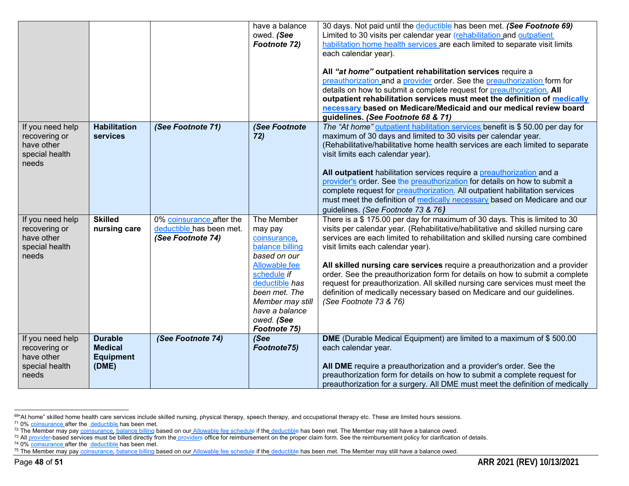|                                                        |                                    |                                                      | have a balance<br>owed. (See<br>Footnote 72) | 30 days. Not paid until the deductible has been met. (See Footnote 69)<br>Limited to 30 visits per calendar year (rehabilitation and outpatient<br>habilitation home health services are each limited to separate visit limits<br>each calendar year).<br>All "at home" outpatient rehabilitation services require a<br>preauthorization and a provider order. See the preauthorization form for<br>details on how to submit a complete request for preauthorization. All<br>outpatient rehabilitation services must meet the definition of medically<br>necessary based on Medicare/Medicaid and our medical review board |
|--------------------------------------------------------|------------------------------------|------------------------------------------------------|----------------------------------------------|----------------------------------------------------------------------------------------------------------------------------------------------------------------------------------------------------------------------------------------------------------------------------------------------------------------------------------------------------------------------------------------------------------------------------------------------------------------------------------------------------------------------------------------------------------------------------------------------------------------------------|
| If you need help                                       | <b>Habilitation</b>                | (See Footnote 71)                                    | <b>See Footnote</b>                          | guidelines. (See Footnote 68 & 71)<br>The "At home" outpatient habilitation services benefit is \$50.00 per day for                                                                                                                                                                                                                                                                                                                                                                                                                                                                                                        |
| recovering or<br>have other<br>special health<br>needs | services                           |                                                      | 72)                                          | maximum of 30 days and limited to 30 visits per calendar year.<br>(Rehabilitative/habilitative home health services are each limited to separate<br>visit limits each calendar year).                                                                                                                                                                                                                                                                                                                                                                                                                                      |
|                                                        |                                    |                                                      |                                              | All outpatient habilitation services require a preauthorization and a                                                                                                                                                                                                                                                                                                                                                                                                                                                                                                                                                      |
|                                                        |                                    |                                                      |                                              | provider's order. See the preauthorization for details on how to submit a<br>complete request for preauthorization. All outpatient habilitation services                                                                                                                                                                                                                                                                                                                                                                                                                                                                   |
|                                                        |                                    |                                                      |                                              | must meet the definition of medically necessary based on Medicare and our                                                                                                                                                                                                                                                                                                                                                                                                                                                                                                                                                  |
|                                                        |                                    |                                                      |                                              | guidelines. (See Footnote 73 & 76)                                                                                                                                                                                                                                                                                                                                                                                                                                                                                                                                                                                         |
| If you need help<br>recovering or                      | <b>Skilled</b><br>nursing care     | 0% coinsurance after the<br>deductible has been met. | The Member<br>may pay                        | There is a \$ 175.00 per day for maximum of 30 days. This is limited to 30<br>visits per calendar year. (Rehabilitative/habilitative and skilled nursing care                                                                                                                                                                                                                                                                                                                                                                                                                                                              |
| have other                                             |                                    | (See Footnote 74)                                    | coinsurance,                                 | services are each limited to rehabilitation and skilled nursing care combined                                                                                                                                                                                                                                                                                                                                                                                                                                                                                                                                              |
| special health<br>needs                                |                                    |                                                      | balance billing<br>based on our              | visit limits each calendar year).                                                                                                                                                                                                                                                                                                                                                                                                                                                                                                                                                                                          |
|                                                        |                                    |                                                      | Allowable fee                                | All skilled nursing care services require a preauthorization and a provider                                                                                                                                                                                                                                                                                                                                                                                                                                                                                                                                                |
|                                                        |                                    |                                                      | schedule if                                  | order. See the preauthorization form for details on how to submit a complete                                                                                                                                                                                                                                                                                                                                                                                                                                                                                                                                               |
|                                                        |                                    |                                                      | deductible has<br>been met. The              | request for preauthorization. All skilled nursing care services must meet the<br>definition of medically necessary based on Medicare and our guidelines.                                                                                                                                                                                                                                                                                                                                                                                                                                                                   |
|                                                        |                                    |                                                      | Member may still                             | (See Footnote 73 & 76)                                                                                                                                                                                                                                                                                                                                                                                                                                                                                                                                                                                                     |
|                                                        |                                    |                                                      | have a balance                               |                                                                                                                                                                                                                                                                                                                                                                                                                                                                                                                                                                                                                            |
|                                                        |                                    |                                                      | owed. (See<br>Footnote 75)                   |                                                                                                                                                                                                                                                                                                                                                                                                                                                                                                                                                                                                                            |
| If you need help                                       | <b>Durable</b>                     | (See Footnote 74)                                    | (See                                         | DME (Durable Medical Equipment) are limited to a maximum of \$500.00                                                                                                                                                                                                                                                                                                                                                                                                                                                                                                                                                       |
| recovering or<br>have other                            | <b>Medical</b><br><b>Equipment</b> |                                                      | Footnote75)                                  | each calendar year.                                                                                                                                                                                                                                                                                                                                                                                                                                                                                                                                                                                                        |
| special health                                         | (DME)                              |                                                      |                                              | All DME require a preauthorization and a provider's order. See the                                                                                                                                                                                                                                                                                                                                                                                                                                                                                                                                                         |
| needs                                                  |                                    |                                                      |                                              | preauthorization form for details on how to submit a complete request for                                                                                                                                                                                                                                                                                                                                                                                                                                                                                                                                                  |
|                                                        |                                    |                                                      |                                              | preauthorization for a surgery. All DME must meet the definition of medically                                                                                                                                                                                                                                                                                                                                                                                                                                                                                                                                              |

<sup>69&</sup>quot;At home" skilled home health care services include skilled nursing, physical therapy, speech therapy, and occupational therapy etc. These are limited hours sessions.

<sup>74</sup> 0% **coinsurance** after the **deductible** has been met.

<sup>&</sup>lt;sup>71</sup> 0% coinsurance after the deductible has been met.

<sup>&</sup>lt;sup>72</sup> The Member may pay coinsurance, balance billing based on our Allowable fee schedule if the deductible has been met. The Member may still have a balance owed.

<sup>&</sup>lt;sup>73</sup> All provider-based services must be billed directly from the providers office for reimbursement on the proper claim form. See the reimbursement policy for clarification of details.

<sup>&</sup>lt;sup>75</sup> The Member may pay coinsurance, balance billing based on our Allowable fee schedule if the deductible has been met. The Member may still have a balance owed.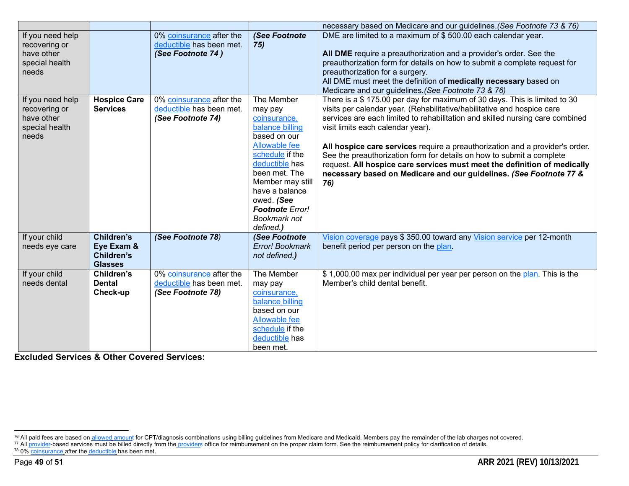|                                                                            |                                                                        |                                                                           |                                                                                                                                                                                                                                                            | necessary based on Medicare and our guidelines. (See Footnote 73 & 76)                                                                                                                                                                                                                                                                                                                                                                                                                                                                                                                       |
|----------------------------------------------------------------------------|------------------------------------------------------------------------|---------------------------------------------------------------------------|------------------------------------------------------------------------------------------------------------------------------------------------------------------------------------------------------------------------------------------------------------|----------------------------------------------------------------------------------------------------------------------------------------------------------------------------------------------------------------------------------------------------------------------------------------------------------------------------------------------------------------------------------------------------------------------------------------------------------------------------------------------------------------------------------------------------------------------------------------------|
| If you need help<br>recovering or<br>have other<br>special health<br>needs |                                                                        | 0% coinsurance after the<br>deductible has been met.<br>(See Footnote 74) | (See Footnote<br>75)                                                                                                                                                                                                                                       | DME are limited to a maximum of \$500.00 each calendar year.<br>All DME require a preauthorization and a provider's order. See the<br>preauthorization form for details on how to submit a complete request for<br>preauthorization for a surgery.<br>All DME must meet the definition of medically necessary based on<br>Medicare and our guidelines. (See Footnote 73 & 76)                                                                                                                                                                                                                |
| If you need help<br>recovering or<br>have other<br>special health<br>needs | <b>Hospice Care</b><br><b>Services</b>                                 | 0% coinsurance after the<br>deductible has been met.<br>(See Footnote 74) | The Member<br>may pay<br>coinsurance,<br>balance billing<br>based on our<br>Allowable fee<br>schedule if the<br>deductible has<br>been met. The<br>Member may still<br>have a balance<br>owed. (See<br><b>Footnote Error!</b><br>Bookmark not<br>defined.) | There is a \$175.00 per day for maximum of 30 days. This is limited to 30<br>visits per calendar year. (Rehabilitative/habilitative and hospice care<br>services are each limited to rehabilitation and skilled nursing care combined<br>visit limits each calendar year).<br>All hospice care services require a preauthorization and a provider's order.<br>See the preauthorization form for details on how to submit a complete<br>request. All hospice care services must meet the definition of medically<br>necessary based on Medicare and our guidelines. (See Footnote 77 &<br>76) |
| If your child<br>needs eye care                                            | <b>Children's</b><br>Eye Exam &<br><b>Children's</b><br><b>Glasses</b> | (See Footnote 78)                                                         | (See Footnote<br>Error! Bookmark<br>not defined.)                                                                                                                                                                                                          | Vision coverage pays \$ 350.00 toward any Vision service per 12-month<br>benefit period per person on the plan.                                                                                                                                                                                                                                                                                                                                                                                                                                                                              |
| If your child<br>needs dental                                              | Children's<br><b>Dental</b><br>Check-up                                | 0% coinsurance after the<br>deductible has been met.<br>(See Footnote 78) | The Member<br>may pay<br>coinsurance,<br>balance billing<br>based on our<br><b>Allowable fee</b><br>schedule if the<br>deductible has<br>been met.                                                                                                         | \$1,000.00 max per individual per year per person on the plan. This is the<br>Member's child dental benefit.                                                                                                                                                                                                                                                                                                                                                                                                                                                                                 |

**Excluded Services & Other Covered Services:** 

<sup>&</sup>lt;sup>76</sup> All paid fees are based on allowed amount for CPT/diagnosis combinations using billing guidelines from Medicare and Medicaid. Members pay the remainder of the lab charges not covered.

<sup>&</sup>lt;sup>77</sup> All provider-based services must be billed directly from the providers office for reimbursement on the proper claim form. See the reimbursement policy for clarification of details.

<sup>&</sup>lt;sup>78</sup> 0% coinsurance after the deductible has been met.